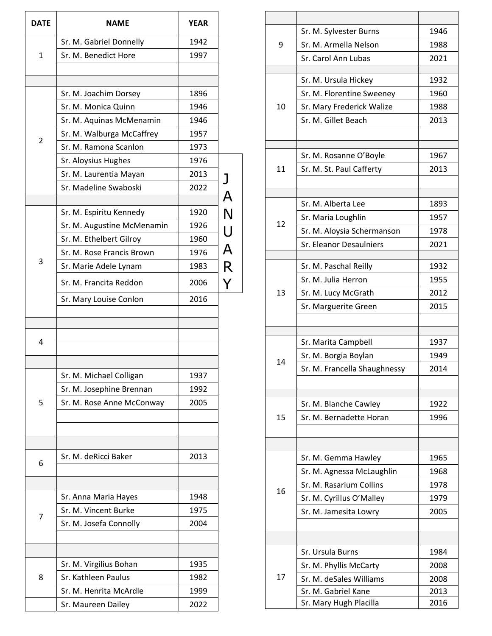| <b>DATE</b>    | <b>NAME</b>                | <b>YEAR</b> |                         |
|----------------|----------------------------|-------------|-------------------------|
|                | Sr. M. Gabriel Donnelly    | 1942        |                         |
| $\mathbf{1}$   | Sr. M. Benedict Hore       | 1997        |                         |
|                |                            |             |                         |
|                |                            |             |                         |
|                | Sr. M. Joachim Dorsey      | 1896        |                         |
|                | Sr. M. Monica Quinn        | 1946        |                         |
|                | Sr. M. Aquinas McMenamin   | 1946        |                         |
| $\overline{2}$ | Sr. M. Walburga McCaffrey  | 1957        |                         |
|                | Sr. M. Ramona Scanlon      | 1973        |                         |
|                | Sr. Aloysius Hughes        | 1976        |                         |
|                | Sr. M. Laurentia Mayan     | 2013        |                         |
|                | Sr. Madeline Swaboski      | 2022        | $\overline{\mathsf{A}}$ |
|                |                            |             |                         |
|                | Sr. M. Espiritu Kennedy    | 1920        | $\overline{\mathsf{N}}$ |
|                | Sr. M. Augustine McMenamin | 1926        | U<br>A<br>R             |
|                | Sr. M. Ethelbert Gilroy    | 1960        |                         |
| 3              | Sr. M. Rose Francis Brown  | 1976        |                         |
|                | Sr. Marie Adele Lynam      | 1983        |                         |
|                | Sr. M. Francita Reddon     | 2006        |                         |
|                | Sr. Mary Louise Conlon     | 2016        |                         |
|                |                            |             |                         |
|                |                            |             |                         |
| 4              |                            |             |                         |
|                |                            |             |                         |
|                | Sr. M. Michael Colligan    | 1937        |                         |
|                | Sr. M. Josephine Brennan   | 1992        |                         |
| 5              | Sr. M. Rose Anne McConway  | 2005        |                         |
|                |                            |             |                         |
|                |                            |             |                         |
|                | Sr. M. deRicci Baker       | 2013        |                         |
| 6              |                            |             |                         |
|                |                            |             |                         |
|                | Sr. Anna Maria Hayes       | 1948        |                         |
| 7              | Sr. M. Vincent Burke       | 1975        |                         |
|                | Sr. M. Josefa Connolly     | 2004        |                         |
|                |                            |             |                         |
|                | Sr. M. Virgilius Bohan     | 1935        |                         |
| 8              | Sr. Kathleen Paulus        | 1982        |                         |
|                |                            |             |                         |
|                | Sr. M. Henrita McArdle     | 1999        |                         |

|    | Sr. M. Sylvester Burns                        | 1946         |
|----|-----------------------------------------------|--------------|
| 9  | Sr. M. Armella Nelson                         | 1988         |
|    | Sr. Carol Ann Lubas                           | 2021         |
|    | Sr. M. Ursula Hickey                          | 1932         |
|    | Sr. M. Florentine Sweeney                     | 1960         |
| 10 | Sr. Mary Frederick Walize                     | 1988         |
|    | Sr. M. Gillet Beach                           | 2013         |
|    |                                               |              |
|    |                                               |              |
|    | Sr. M. Rosanne O'Boyle                        | 1967         |
| 11 | Sr. M. St. Paul Cafferty                      | 2013         |
|    |                                               |              |
|    | Sr. M. Alberta Lee                            | 1893         |
|    | Sr. Maria Loughlin                            | 1957         |
| 12 | Sr. M. Aloysia Schermanson                    | 1978         |
|    | Sr. Eleanor Desaulniers                       | 2021         |
|    | Sr. M. Paschal Reilly                         | 1932         |
|    | Sr. M. Julia Herron                           | 1955         |
| 13 | Sr. M. Lucy McGrath                           | 2012         |
|    | Sr. Marguerite Green                          | 2015         |
|    |                                               |              |
|    |                                               |              |
|    |                                               |              |
|    | Sr. Marita Campbell                           | 1937         |
| 14 | Sr. M. Borgia Boylan                          | 1949         |
|    | Sr. M. Francella Shaughnessy                  | 2014         |
|    |                                               |              |
|    | Sr. M. Blanche Cawley                         | 1922         |
| 15 | Sr. M. Bernadette Horan                       | 1996         |
|    |                                               |              |
|    | Sr. M. Gemma Hawley                           | 1965         |
|    | Sr. M. Agnessa McLaughlin                     | 1968         |
|    | Sr. M. Rasarium Collins                       | 1978         |
| 16 | Sr. M. Cyrillus O'Malley                      | 1979         |
|    | Sr. M. Jamesita Lowry                         | 2005         |
|    |                                               |              |
|    |                                               |              |
|    | Sr. Ursula Burns                              | 1984         |
|    | Sr. M. Phyllis McCarty                        | 2008         |
| 17 | Sr. M. deSales Williams                       | 2008         |
|    | Sr. M. Gabriel Kane<br>Sr. Mary Hugh Placilla | 2013<br>2016 |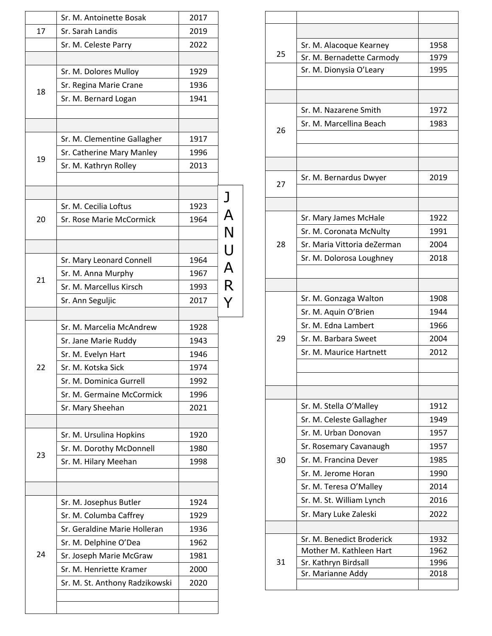|    | Sr. M. Antoinette Bosak        | 2017         |   |
|----|--------------------------------|--------------|---|
| 17 | Sr. Sarah Landis               | 2019         |   |
|    | Sr. M. Celeste Parry           | 2022         |   |
|    |                                |              |   |
|    | Sr. M. Dolores Mulloy          | 1929         |   |
| 18 | Sr. Regina Marie Crane         | 1936         |   |
|    | Sr. M. Bernard Logan           | 1941         |   |
|    |                                |              |   |
|    |                                |              |   |
|    | Sr. M. Clementine Gallagher    | 1917         |   |
| 19 | Sr. Catherine Mary Manley      | 1996         |   |
|    | Sr. M. Kathryn Rolley          | 2013         |   |
|    |                                |              |   |
|    | Sr. M. Cecilia Loftus          | 1923         | J |
| 20 | Sr. Rose Marie McCormick       | 1964         | А |
|    |                                |              | N |
|    |                                |              | U |
|    | Sr. Mary Leonard Connell       | 1964         |   |
|    | Sr. M. Anna Murphy             | 1967         | A |
| 21 | Sr. M. Marcellus Kirsch        | 1993         | R |
|    | Sr. Ann Seguljic               | 2017         |   |
|    |                                |              |   |
|    | Sr. M. Marcelia McAndrew       | 1928         |   |
|    | Sr. Jane Marie Ruddy           | 1943         |   |
|    | Sr. M. Evelyn Hart             | 1946         |   |
| 22 | Sr. M. Kotska Sick             | 1974         |   |
|    | Sr. M. Dominica Gurrell        | 1992         |   |
|    | Sr. M. Germaine McCormick      | 1996         |   |
|    | Sr. Mary Sheehan               | 2021         |   |
|    |                                |              |   |
|    | Sr. M. Ursulina Hopkins        | 1920         |   |
| 23 | Sr. M. Dorothy McDonnell       | 1980<br>1998 |   |
|    | Sr. M. Hilary Meehan           |              |   |
|    |                                |              |   |
|    | Sr. M. Josephus Butler         | 1924         |   |
|    | Sr. M. Columba Caffrey         | 1929         |   |
|    | Sr. Geraldine Marie Holleran   | 1936         |   |
|    | Sr. M. Delphine O'Dea          | 1962         |   |
| 24 | Sr. Joseph Marie McGraw        | 1981         |   |
|    | Sr. M. Henriette Kramer        | 2000         |   |
|    | Sr. M. St. Anthony Radzikowski | 2020         |   |
|    |                                |              |   |
|    |                                |              |   |

|    | Sr. M. Alacoque Kearney                         | 1958         |
|----|-------------------------------------------------|--------------|
| 25 | Sr. M. Bernadette Carmody                       | 1979         |
|    | Sr. M. Dionysia O'Leary                         | 1995         |
|    |                                                 |              |
|    |                                                 |              |
|    | Sr. M. Nazarene Smith                           | 1972         |
| 26 | Sr. M. Marcellina Beach                         | 1983         |
|    |                                                 |              |
|    |                                                 |              |
|    |                                                 |              |
| 27 | Sr. M. Bernardus Dwyer                          | 2019         |
|    |                                                 |              |
|    |                                                 |              |
|    | Sr. Mary James McHale                           | 1922         |
|    | Sr. M. Coronata McNulty                         | 1991         |
| 28 | Sr. Maria Vittoria deZerman                     | 2004         |
|    | Sr. M. Dolorosa Loughney                        | 2018         |
|    |                                                 |              |
|    |                                                 |              |
|    | Sr. M. Gonzaga Walton                           | 1908         |
|    | Sr. M. Aquin O'Brien                            | 1944         |
|    | Sr. M. Edna Lambert                             | 1966         |
| 29 | Sr. M. Barbara Sweet                            | 2004         |
|    | Sr. M. Maurice Hartnett                         | 2012         |
|    |                                                 |              |
|    |                                                 |              |
|    |                                                 |              |
|    | Sr. M. Stella O'Malley                          | 1912         |
|    | Sr. M. Celeste Gallagher                        | 1949         |
|    | Sr. M. Urban Donovan                            | 1957         |
|    | Sr. Rosemary Cavanaugh                          | 1957         |
| 30 | Sr. M. Francina Dever                           | 1985         |
|    | Sr. M. Jerome Horan                             | 1990         |
|    | Sr. M. Teresa O'Malley                          | 2014         |
|    | Sr. M. St. William Lynch                        | 2016         |
|    | Sr. Mary Luke Zaleski                           | 2022         |
|    |                                                 |              |
|    | Sr. M. Benedict Broderick                       | 1932         |
| 31 | Mother M. Kathleen Hart<br>Sr. Kathryn Birdsall | 1962<br>1996 |
|    | Sr. Marianne Addy                               | 2018         |
|    |                                                 |              |
|    |                                                 |              |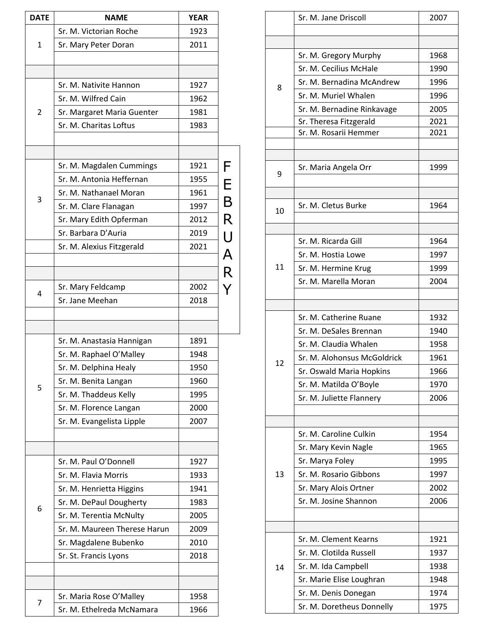| <b>DATE</b> | <b>NAME</b>                  | <b>YEAR</b> |                |
|-------------|------------------------------|-------------|----------------|
|             | Sr. M. Victorian Roche       | 1923        |                |
| 1           | Sr. Mary Peter Doran         | 2011        |                |
|             |                              |             |                |
|             |                              |             |                |
|             | Sr. M. Nativite Hannon       | 1927        |                |
|             | Sr. M. Wilfred Cain          | 1962        |                |
| 2           | Sr. Margaret Maria Guenter   | 1981        |                |
|             | Sr. M. Charitas Loftus       | 1983        |                |
|             |                              |             |                |
|             |                              |             |                |
|             | Sr. M. Magdalen Cummings     | 1921        | F              |
|             | Sr. M. Antonia Heffernan     | 1955        | E              |
| 3           | Sr. M. Nathanael Moran       | 1961        | $\overline{B}$ |
|             | Sr. M. Clare Flanagan        | 1997        |                |
|             | Sr. Mary Edith Opferman      | 2012        | $\mathsf{R}$   |
|             | Sr. Barbara D'Auria          | 2019        |                |
|             | Sr. M. Alexius Fitzgerald    | 2021        | U<br>A         |
|             |                              |             |                |
|             |                              |             | $\mathsf{R}$   |
| 4           | Sr. Mary Feldcamp            | 2002        | Y              |
|             | Sr. Jane Meehan              | 2018        |                |
|             |                              |             |                |
|             |                              |             |                |
|             | Sr. M. Anastasia Hannigan    | 1891        |                |
|             | Sr. M. Raphael O'Malley      | 1948        |                |
|             | Sr. M. Delphina Healy        | 1950        |                |
| 5           | Sr. M. Benita Langan         | 1960        |                |
|             | Sr. M. Thaddeus Kelly        | 1995        |                |
|             | Sr. M. Florence Langan       | 2000        |                |
|             | Sr. M. Evangelista Lipple    | 2007        |                |
|             |                              |             |                |
|             | Sr. M. Paul O'Donnell        | 1927        |                |
|             | Sr. M. Flavia Morris         | 1933        |                |
|             | Sr. M. Henrietta Higgins     | 1941        |                |
|             | Sr. M. DePaul Dougherty      | 1983        |                |
| 6           | Sr. M. Terentia McNulty      | 2005        |                |
|             | Sr. M. Maureen Therese Harun | 2009        |                |
|             | Sr. Magdalene Bubenko        | 2010        |                |
|             | Sr. St. Francis Lyons        | 2018        |                |
|             |                              |             |                |
|             |                              |             |                |
|             | Sr. Maria Rose O'Malley      | 1958        |                |
| 7           | Sr. M. Ethelreda McNamara    | 1966        |                |
|             |                              |             |                |

|    | Sr. M. Jane Driscoll        | 2007 |
|----|-----------------------------|------|
|    |                             |      |
|    |                             |      |
|    | Sr. M. Gregory Murphy       | 1968 |
|    | Sr. M. Cecilius McHale      | 1990 |
| 8  | Sr. M. Bernadina McAndrew   | 1996 |
|    | Sr. M. Muriel Whalen        | 1996 |
|    | Sr. M. Bernadine Rinkavage  | 2005 |
|    | Sr. Theresa Fitzgerald      | 2021 |
|    | Sr. M. Rosarii Hemmer       | 2021 |
|    |                             |      |
|    | Sr. Maria Angela Orr        | 1999 |
| 9  |                             |      |
|    |                             |      |
|    | Sr. M. Cletus Burke         | 1964 |
| 10 |                             |      |
|    |                             |      |
|    | Sr. M. Ricarda Gill         | 1964 |
|    | Sr. M. Hostia Lowe          | 1997 |
| 11 | Sr. M. Hermine Krug         | 1999 |
|    | Sr. M. Marella Moran        | 2004 |
|    |                             |      |
|    |                             |      |
|    | Sr. M. Catherine Ruane      | 1932 |
|    | Sr. M. DeSales Brennan      | 1940 |
|    | Sr. M. Claudia Whalen       | 1958 |
| 12 | Sr. M. Alohonsus McGoldrick | 1961 |
|    | Sr. Oswald Maria Hopkins    | 1966 |
|    | Sr. M. Matilda O'Boyle      | 1970 |
|    | Sr. M. Juliette Flannery    | 2006 |
|    |                             |      |
|    | Sr. M. Caroline Culkin      | 1954 |
|    | Sr. Mary Kevin Nagle        | 1965 |
|    |                             |      |
|    | Sr. Marya Foley             | 1995 |
| 13 | Sr. M. Rosario Gibbons      | 1997 |
|    | Sr. Mary Alois Ortner       | 2002 |
|    | Sr. M. Josine Shannon       | 2006 |
|    |                             |      |
|    | Sr. M. Clement Kearns       | 1921 |
|    | Sr. M. Clotilda Russell     | 1937 |
|    | Sr. M. Ida Campbell         | 1938 |
| 14 | Sr. Marie Elise Loughran    | 1948 |
|    |                             |      |
|    | Sr. M. Denis Donegan        | 1974 |
|    | Sr. M. Doretheus Donnelly   | 1975 |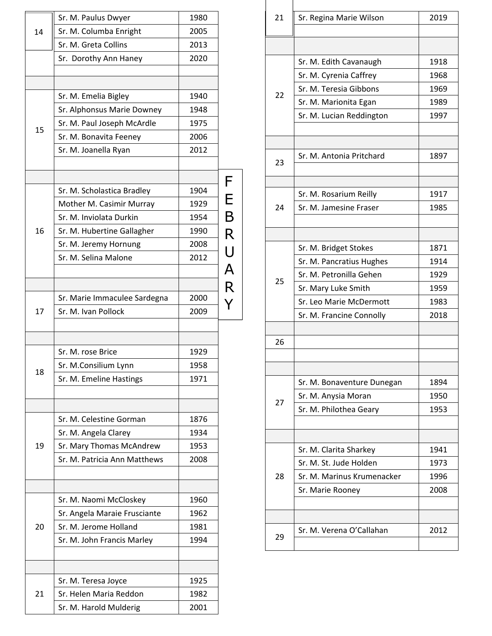|    | Sr. M. Paulus Dwyer          | 1980 |                         |
|----|------------------------------|------|-------------------------|
| 14 | Sr. M. Columba Enright       | 2005 |                         |
|    | Sr. M. Greta Collins         | 2013 |                         |
|    | Sr. Dorothy Ann Haney        | 2020 |                         |
|    |                              |      |                         |
|    |                              |      |                         |
|    | Sr. M. Emelia Bigley         | 1940 |                         |
|    | Sr. Alphonsus Marie Downey   | 1948 |                         |
| 15 | Sr. M. Paul Joseph McArdle   | 1975 |                         |
|    | Sr. M. Bonavita Feeney       | 2006 |                         |
|    | Sr. M. Joanella Ryan         | 2012 |                         |
|    |                              |      |                         |
|    |                              |      | F                       |
|    | Sr. M. Scholastica Bradley   | 1904 | E                       |
|    | Mother M. Casimir Murray     | 1929 |                         |
|    | Sr. M. Inviolata Durkin      | 1954 | $\overline{B}$          |
| 16 | Sr. M. Hubertine Gallagher   | 1990 | R                       |
|    | Sr. M. Jeremy Hornung        | 2008 | $\bigcup$               |
|    | Sr. M. Selina Malone         | 2012 |                         |
|    |                              |      | $\overline{\mathsf{A}}$ |
|    |                              |      | $\overline{\mathsf{R}}$ |
|    | Sr. Marie Immaculee Sardegna | 2000 |                         |
| 17 | Sr. M. Ivan Pollock          | 2009 |                         |
|    |                              |      |                         |
|    |                              |      |                         |
|    | Sr. M. rose Brice            | 1929 |                         |
| 18 | Sr. M.Consilium Lynn         | 1958 |                         |
|    | Sr. M. Emeline Hastings      | 1971 |                         |
|    |                              |      |                         |
|    |                              |      |                         |
|    | Sr. M. Celestine Gorman      | 1876 |                         |
|    | Sr. M. Angela Clarey         | 1934 |                         |
| 19 | Sr. Mary Thomas McAndrew     | 1953 |                         |
|    | Sr. M. Patricia Ann Matthews | 2008 |                         |
|    |                              |      |                         |
|    | Sr. M. Naomi McCloskey       | 1960 |                         |
|    | Sr. Angela Maraie Frusciante | 1962 |                         |
| 20 | Sr. M. Jerome Holland        | 1981 |                         |
|    |                              | 1994 |                         |
|    | Sr. M. John Francis Marley   |      |                         |
|    |                              |      |                         |
|    | Sr. M. Teresa Joyce          | 1925 |                         |
| 21 | Sr. Helen Maria Reddon       | 1982 |                         |
|    | Sr. M. Harold Mulderig       | 2001 |                         |
|    |                              |      |                         |

| 21 | Sr. Regina Marie Wilson    | 2019 |
|----|----------------------------|------|
|    |                            |      |
|    |                            |      |
|    | Sr. M. Edith Cavanaugh     | 1918 |
|    | Sr. M. Cyrenia Caffrey     | 1968 |
| 22 | Sr. M. Teresia Gibbons     | 1969 |
|    | Sr. M. Marionita Egan      | 1989 |
|    | Sr. M. Lucian Reddington   | 1997 |
|    |                            |      |
|    |                            |      |
| 23 | Sr. M. Antonia Pritchard   | 1897 |
|    |                            |      |
|    |                            |      |
|    | Sr. M. Rosarium Reilly     | 1917 |
| 24 | Sr. M. Jamesine Fraser     | 1985 |
|    |                            |      |
|    |                            |      |
|    | Sr. M. Bridget Stokes      | 1871 |
|    | Sr. M. Pancratius Hughes   | 1914 |
| 25 | Sr. M. Petronilla Gehen    | 1929 |
|    | Sr. Mary Luke Smith        | 1959 |
|    | Sr. Leo Marie McDermott    | 1983 |
|    | Sr. M. Francine Connolly   | 2018 |
|    |                            |      |
| 26 |                            |      |
|    |                            |      |
|    |                            |      |
|    | Sr. M. Bonaventure Dunegan | 1894 |
| 27 | Sr. M. Anysia Moran        | 1950 |
|    | Sr. M. Philothea Geary     | 1953 |
|    |                            |      |
|    | Sr. M. Clarita Sharkey     | 1941 |
|    | Sr. M. St. Jude Holden     | 1973 |
| 28 | Sr. M. Marinus Krumenacker | 1996 |
|    | Sr. Marie Rooney           | 2008 |
|    |                            |      |
|    |                            |      |
|    | Sr. M. Verena O'Callahan   | 2012 |
| 29 |                            |      |
|    |                            |      |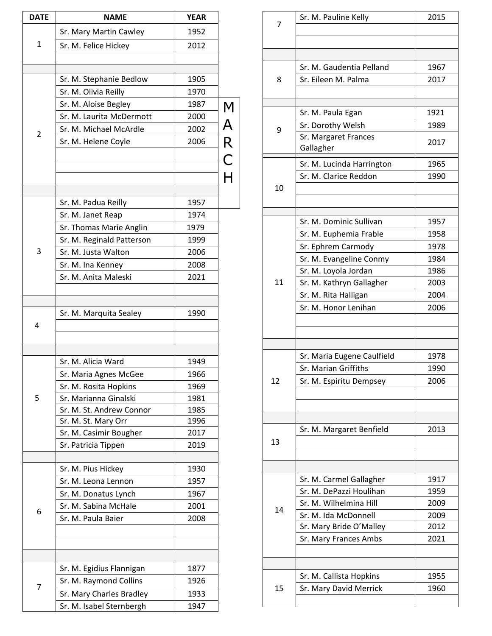| <b>DATE</b>    | <b>NAME</b>                                      | <b>YEAR</b>  |       |
|----------------|--------------------------------------------------|--------------|-------|
|                | Sr. Mary Martin Cawley                           | 1952         |       |
| 1              | Sr. M. Felice Hickey                             | 2012         |       |
|                |                                                  |              |       |
|                |                                                  | 1905         |       |
|                | Sr. M. Stephanie Bedlow<br>Sr. M. Olivia Reilly  | 1970         |       |
|                |                                                  |              |       |
|                | Sr. M. Aloise Begley<br>Sr. M. Laurita McDermott | 1987<br>2000 |       |
|                | Sr. M. Michael McArdle                           | 2002         |       |
| $\overline{2}$ |                                                  | 2006         |       |
|                | Sr. M. Helene Coyle                              |              |       |
|                |                                                  |              |       |
|                |                                                  |              | MARCH |
|                |                                                  |              |       |
|                | Sr. M. Padua Reilly                              | 1957         |       |
|                | Sr. M. Janet Reap                                | 1974         |       |
|                | Sr. Thomas Marie Anglin                          | 1979         |       |
|                | Sr. M. Reginald Patterson                        | 1999         |       |
| 3              | Sr. M. Justa Walton                              | 2006         |       |
|                | Sr. M. Ina Kenney                                | 2008         |       |
|                | Sr. M. Anita Maleski                             | 2021         |       |
|                |                                                  |              |       |
|                |                                                  |              |       |
|                | Sr. M. Marquita Sealey                           | 1990         |       |
| 4              |                                                  |              |       |
|                |                                                  |              |       |
|                | Sr. M. Alicia Ward                               | 1949         |       |
|                | Sr. Maria Agnes McGee                            | 1966         |       |
|                | Sr. M. Rosita Hopkins                            | 1969         |       |
| 5              | Sr. Marianna Ginalski                            | 1981         |       |
|                | Sr. M. St. Andrew Connor                         | 1985         |       |
|                | Sr. M. St. Mary Orr                              | 1996         |       |
|                | Sr. M. Casimir Bougher                           | 2017         |       |
|                | Sr. Patricia Tippen                              | 2019         |       |
|                | Sr. M. Pius Hickey                               | 1930         |       |
|                | Sr. M. Leona Lennon                              | 1957         |       |
|                | Sr. M. Donatus Lynch                             | 1967         |       |
|                | Sr. M. Sabina McHale                             | 2001         |       |
| 6              | Sr. M. Paula Baier                               | 2008         |       |
|                |                                                  |              |       |
|                |                                                  |              |       |
|                |                                                  |              |       |
|                | Sr. M. Egidius Flannigan                         | 1877         |       |
| 7              | Sr. M. Raymond Collins                           | 1926         |       |
|                | Sr. Mary Charles Bradley                         | 1933         |       |
|                | Sr. M. Isabel Sternbergh                         | 1947         |       |

| 7  | Sr. M. Pauline Kelly       | 2015 |
|----|----------------------------|------|
|    |                            |      |
|    |                            |      |
|    |                            |      |
|    | Sr. M. Gaudentia Pelland   | 1967 |
| 8  | Sr. Eileen M. Palma        | 2017 |
|    |                            |      |
|    |                            |      |
|    | Sr. M. Paula Egan          | 1921 |
| 9  | Sr. Dorothy Welsh          | 1989 |
|    | Sr. Margaret Frances       | 2017 |
|    | Gallagher                  |      |
|    | Sr. M. Lucinda Harrington  | 1965 |
|    | Sr. M. Clarice Reddon      | 1990 |
| 10 |                            |      |
|    |                            |      |
|    |                            |      |
|    | Sr. M. Dominic Sullivan    | 1957 |
|    | Sr. M. Euphemia Frable     | 1958 |
|    | Sr. Ephrem Carmody         | 1978 |
|    | Sr. M. Evangeline Conmy    | 1984 |
|    | Sr. M. Loyola Jordan       | 1986 |
| 11 | Sr. M. Kathryn Gallagher   | 2003 |
|    | Sr. M. Rita Halligan       | 2004 |
|    | Sr. M. Honor Lenihan       | 2006 |
|    |                            |      |
|    |                            |      |
|    |                            |      |
|    | Sr. Maria Eugene Caulfield | 1978 |
|    | Sr. Marian Griffiths       | 1990 |
| 12 | Sr. M. Espiritu Dempsey    | 2006 |
|    |                            |      |
|    |                            |      |
|    |                            |      |
|    | Sr. M. Margaret Benfield   | 2013 |
| 13 |                            |      |
|    |                            |      |
|    |                            |      |
|    | Sr. M. Carmel Gallagher    | 1917 |
|    | Sr. M. DePazzi Houlihan    | 1959 |
|    | Sr. M. Wilhelmina Hill     | 2009 |
| 14 | Sr. M. Ida McDonnell       | 2009 |
|    | Sr. Mary Bride O'Malley    | 2012 |
|    |                            |      |
|    |                            |      |
|    | Sr. Mary Frances Ambs      | 2021 |
|    |                            |      |
|    |                            |      |
|    | Sr. M. Callista Hopkins    | 1955 |
| 15 | Sr. Mary David Merrick     | 1960 |

J.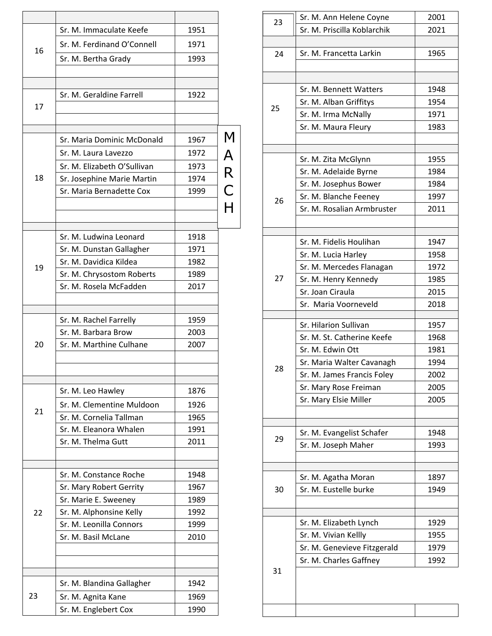|    | Sr. M. Immaculate Keefe     | 1951 |                         |
|----|-----------------------------|------|-------------------------|
|    | Sr. M. Ferdinand O'Connell  | 1971 |                         |
| 16 |                             |      |                         |
|    | Sr. M. Bertha Grady         | 1993 |                         |
|    |                             |      |                         |
|    | Sr. M. Geraldine Farrell    | 1922 |                         |
| 17 |                             |      |                         |
|    |                             |      |                         |
|    |                             |      | M                       |
|    | Sr. Maria Dominic McDonald  | 1967 |                         |
|    | Sr. M. Laura Lavezzo        | 1972 | $\overline{\mathsf{A}}$ |
|    | Sr. M. Elizabeth O'Sullivan | 1973 | $\overline{\mathsf{R}}$ |
| 18 | Sr. Josephine Marie Martin  | 1974 |                         |
|    | Sr. Maria Bernadette Cox    | 1999 | $\mathsf C$             |
|    |                             |      |                         |
|    |                             |      |                         |
|    | Sr. M. Ludwina Leonard      | 1918 |                         |
|    | Sr. M. Dunstan Gallagher    | 1971 |                         |
|    | Sr. M. Davidica Kildea      | 1982 |                         |
| 19 | Sr. M. Chrysostom Roberts   | 1989 |                         |
|    | Sr. M. Rosela McFadden      | 2017 |                         |
|    |                             |      |                         |
|    | Sr. M. Rachel Farrelly      | 1959 |                         |
|    | Sr. M. Barbara Brow         | 2003 |                         |
| 20 | Sr. M. Marthine Culhane     | 2007 |                         |
|    |                             |      |                         |
|    |                             |      |                         |
|    | Sr. M. Leo Hawley           | 1876 |                         |
|    | Sr. M. Clementine Muldoon   | 1926 |                         |
| 21 | Sr. M. Cornelia Tallman     | 1965 |                         |
|    | Sr. M. Eleanora Whalen      | 1991 |                         |
|    | Sr. M. Thelma Gutt          | 2011 |                         |
|    |                             |      |                         |
|    |                             |      |                         |
|    | Sr. M. Constance Roche      | 1948 |                         |
|    | Sr. Mary Robert Gerrity     | 1967 |                         |
|    | Sr. Marie E. Sweeney        | 1989 |                         |
| 22 | Sr. M. Alphonsine Kelly     | 1992 |                         |
|    | Sr. M. Leonilla Connors     | 1999 |                         |
|    | Sr. M. Basil McLane         | 2010 |                         |
|    |                             |      |                         |
|    |                             |      |                         |
|    | Sr. M. Blandina Gallagher   | 1942 |                         |
| 23 | Sr. M. Agnita Kane          | 1969 |                         |
|    | Sr. M. Englebert Cox        | 1990 |                         |
|    |                             |      |                         |

| 23 | Sr. M. Ann Helene Coyne     | 2001 |
|----|-----------------------------|------|
|    | Sr. M. Priscilla Koblarchik | 2021 |
|    |                             |      |
| 24 | Sr. M. Francetta Larkin     | 1965 |
|    |                             |      |
|    |                             |      |
|    | Sr. M. Bennett Watters      | 1948 |
|    | Sr. M. Alban Griffitys      | 1954 |
| 25 |                             | 1971 |
|    | Sr. M. Irma McNally         |      |
|    | Sr. M. Maura Fleury         | 1983 |
|    |                             |      |
|    | Sr. M. Zita McGlynn         | 1955 |
|    | Sr. M. Adelaide Byrne       | 1984 |
|    | Sr. M. Josephus Bower       | 1984 |
|    | Sr. M. Blanche Feeney       | 1997 |
| 26 | Sr. M. Rosalian Armbruster  | 2011 |
|    |                             |      |
|    |                             |      |
|    | Sr. M. Fidelis Houlihan     | 1947 |
|    | Sr. M. Lucia Harley         | 1958 |
|    | Sr. M. Mercedes Flanagan    | 1972 |
| 27 | Sr. M. Henry Kennedy        | 1985 |
|    | Sr. Joan Ciraula            | 2015 |
|    |                             |      |
|    | Sr. Maria Voorneveld        | 2018 |
|    | Sr. Hilarion Sullivan       | 1957 |
|    | Sr. M. St. Catherine Keefe  | 1968 |
|    | Sr. M. Edwin Ott            | 1981 |
|    | Sr. Maria Walter Cavanagh   | 1994 |
| 28 | Sr. M. James Francis Foley  | 2002 |
|    | Sr. Mary Rose Freiman       | 2005 |
|    | Sr. Mary Elsie Miller       | 2005 |
|    |                             |      |
|    |                             |      |
|    | Sr. M. Evangelist Schafer   | 1948 |
| 29 | Sr. M. Joseph Maher         | 1993 |
|    |                             |      |
|    |                             |      |
|    | Sr. M. Agatha Moran         | 1897 |
| 30 | Sr. M. Eustelle burke       | 1949 |
|    |                             |      |
|    |                             |      |
|    | Sr. M. Elizabeth Lynch      | 1929 |
|    | Sr. M. Vivian Kellly        | 1955 |
|    | Sr. M. Genevieve Fitzgerald | 1979 |
|    | Sr. M. Charles Gaffney      | 1992 |
| 31 |                             |      |
|    |                             |      |
|    |                             |      |
|    |                             |      |
|    |                             |      |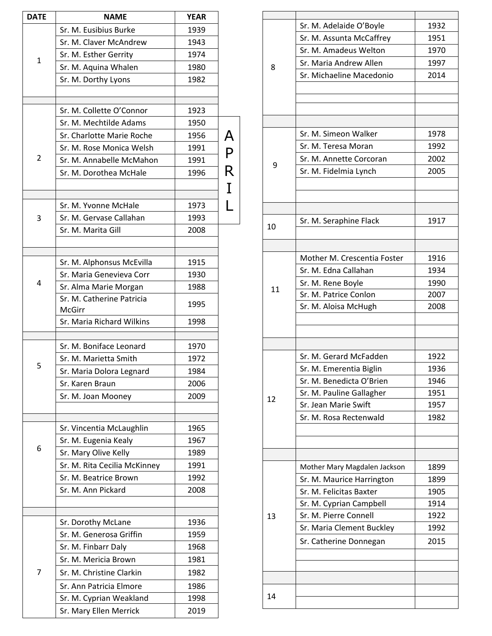| <b>DATE</b>    | <b>NAME</b>                                      | <b>YEAR</b> |             |
|----------------|--------------------------------------------------|-------------|-------------|
|                | Sr. M. Eusibius Burke                            | 1939        |             |
|                | Sr. M. Claver McAndrew                           | 1943        |             |
| $\mathbf{1}$   | Sr. M. Esther Gerrity                            | 1974        |             |
|                | Sr. M. Aquina Whalen                             | 1980        |             |
|                | Sr. M. Dorthy Lyons                              | 1982        |             |
|                |                                                  |             |             |
|                | Sr. M. Collette O'Connor                         | 1923        |             |
|                | Sr. M. Mechtilde Adams                           | 1950        |             |
|                | Sr. Charlotte Marie Roche                        | 1956        |             |
|                | Sr. M. Rose Monica Welsh                         | 1991        | A<br>P      |
| $\overline{2}$ | Sr. M. Annabelle McMahon                         | 1991        |             |
|                | Sr. M. Dorothea McHale                           | 1996        | R           |
|                |                                                  |             | $\mathbf I$ |
|                | Sr. M. Yvonne McHale                             | 1973        |             |
| 3              | Sr. M. Gervase Callahan                          | 1993        |             |
|                | Sr. M. Marita Gill                               | 2008        |             |
|                |                                                  |             |             |
|                |                                                  |             |             |
|                | Sr. M. Alphonsus McEvilla                        | 1915        |             |
| 4              | Sr. Maria Genevieva Corr                         | 1930        |             |
|                | Sr. Alma Marie Morgan                            | 1988        |             |
|                | Sr. M. Catherine Patricia<br>McGirr              | 1995        |             |
|                | Sr. Maria Richard Wilkins                        | 1998        |             |
|                |                                                  |             |             |
|                | Sr. M. Boniface Leonard                          | 1970        |             |
| 5              | Sr. M. Marietta Smith                            | 1972        |             |
|                | Sr. Maria Dolora Legnard                         | 1984        |             |
|                | Sr. Karen Braun                                  | 2006        |             |
|                | Sr. M. Joan Mooney                               | 2009        |             |
|                |                                                  | 1965        |             |
|                | Sr. Vincentia McLaughlin<br>Sr. M. Eugenia Kealy | 1967        |             |
| 6              | Sr. Mary Olive Kelly                             | 1989        |             |
|                | Sr. M. Rita Cecilia McKinney                     | 1991        |             |
|                | Sr. M. Beatrice Brown                            | 1992        |             |
|                | Sr. M. Ann Pickard                               | 2008        |             |
|                |                                                  |             |             |
|                |                                                  |             |             |
|                | Sr. Dorothy McLane                               | 1936        |             |
|                | Sr. M. Generosa Griffin                          | 1959        |             |
|                | Sr. M. Finbarr Daly                              | 1968        |             |
|                | Sr. M. Mericia Brown                             | 1981        |             |
| 7              | Sr. M. Christine Clarkin                         | 1982        |             |
|                | Sr. Ann Patricia Elmore                          | 1986        |             |
|                | Sr. M. Cyprian Weakland                          | 1998        |             |
|                | Sr. Mary Ellen Merrick                           | 2019        |             |

|    | Sr. M. Adelaide O'Boyle      | 1932 |
|----|------------------------------|------|
|    | Sr. M. Assunta McCaffrey     | 1951 |
|    | Sr. M. Amadeus Welton        | 1970 |
|    | Sr. Maria Andrew Allen       | 1997 |
| 8  | Sr. Michaeline Macedonio     | 2014 |
|    |                              |      |
|    |                              |      |
|    |                              |      |
|    |                              |      |
|    | Sr. M. Simeon Walker         | 1978 |
|    | Sr. M. Teresa Moran          | 1992 |
|    |                              | 2002 |
| 9  | Sr. M. Annette Corcoran      |      |
|    | Sr. M. Fidelmia Lynch        | 2005 |
|    |                              |      |
|    |                              |      |
|    |                              |      |
| 10 | Sr. M. Seraphine Flack       | 1917 |
|    |                              |      |
|    |                              |      |
|    | Mother M. Crescentia Foster  | 1916 |
|    | Sr. M. Edna Callahan         | 1934 |
| 11 | Sr. M. Rene Boyle            | 1990 |
|    | Sr. M. Patrice Conlon        | 2007 |
|    | Sr. M. Aloisa McHugh         | 2008 |
|    |                              |      |
|    |                              |      |
|    |                              |      |
|    | Sr. M. Gerard McFadden       | 1922 |
|    | Sr. M. Emerentia Biglin      | 1936 |
|    | Sr. M. Benedicta O'Brien     | 1946 |
|    | Sr. M. Pauline Gallagher     | 1951 |
| 12 | Sr. Jean Marie Swift         | 1957 |
|    | Sr. M. Rosa Rectenwald       | 1982 |
|    |                              |      |
|    |                              |      |
|    |                              |      |
|    | Mother Mary Magdalen Jackson | 1899 |
|    | Sr. M. Maurice Harrington    | 1899 |
|    | Sr. M. Felicitas Baxter      | 1905 |
|    | Sr. M. Cyprian Campbell      | 1914 |
| 13 | Sr. M. Pierre Connell        | 1922 |
|    | Sr. Maria Clement Buckley    | 1992 |
|    |                              |      |
|    | Sr. Catherine Donnegan       | 2015 |
|    |                              |      |
|    |                              |      |
|    |                              |      |
| 14 |                              |      |
|    |                              |      |
|    |                              |      |

Г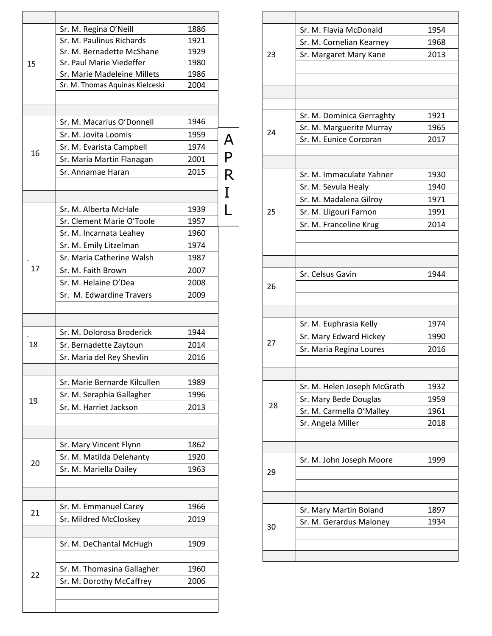|    | Sr. M. Regina O'Neill           | 1886 |                         |
|----|---------------------------------|------|-------------------------|
|    | Sr. M. Paulinus Richards        | 1921 |                         |
|    | Sr. M. Bernadette McShane       | 1929 |                         |
| 15 | Sr. Paul Marie Viedeffer        | 1980 |                         |
|    | Sr. Marie Madeleine Millets     | 1986 |                         |
|    | Sr. M. Thomas Aquinas Kielceski | 2004 |                         |
|    |                                 |      |                         |
|    |                                 |      |                         |
|    | Sr. M. Macarius O'Donnell       | 1946 |                         |
|    | Sr. M. Jovita Loomis            | 1959 | $\overline{\mathsf{A}}$ |
| 16 | Sr. M. Evarista Campbell        | 1974 |                         |
|    | Sr. Maria Martin Flanagan       | 2001 | $\overline{P}$          |
|    | Sr. Annamae Haran               | 2015 | $\overline{\mathsf{R}}$ |
|    |                                 |      |                         |
|    |                                 |      | I                       |
|    | Sr. M. Alberta McHale           | 1939 |                         |
|    | Sr. Clement Marie O'Toole       | 1957 |                         |
|    | Sr. M. Incarnata Leahey         | 1960 |                         |
|    | Sr. M. Emily Litzelman          | 1974 |                         |
|    | Sr. Maria Catherine Walsh       | 1987 |                         |
| 17 | Sr. M. Faith Brown              | 2007 |                         |
|    | Sr. M. Helaine O'Dea            | 2008 |                         |
|    |                                 |      |                         |
|    | Sr. M. Edwardine Travers        | 2009 |                         |
|    |                                 |      |                         |
|    |                                 |      |                         |
|    | Sr. M. Dolorosa Broderick       | 1944 |                         |
| 18 | Sr. Bernadette Zaytoun          | 2014 |                         |
|    | Sr. Maria del Rey Shevlin       | 2016 |                         |
|    |                                 |      |                         |
|    | Sr. Marie Bernarde Kilcullen    | 1989 |                         |
| 19 | Sr. M. Seraphia Gallagher       | 1996 |                         |
|    | Sr. M. Harriet Jackson          | 2013 |                         |
|    |                                 |      |                         |
|    |                                 |      |                         |
|    | Sr. Mary Vincent Flynn          | 1862 |                         |
|    | Sr. M. Matilda Delehanty        | 1920 |                         |
| 20 | Sr. M. Mariella Dailey          | 1963 |                         |
|    |                                 |      |                         |
|    |                                 |      |                         |
|    | Sr. M. Emmanuel Carey           | 1966 |                         |
| 21 | Sr. Mildred McCloskey           | 2019 |                         |
|    |                                 |      |                         |
|    | Sr. M. DeChantal McHugh         | 1909 |                         |
|    |                                 |      |                         |
|    |                                 |      |                         |
| 22 | Sr. M. Thomasina Gallagher      | 1960 |                         |
|    | Sr. M. Dorothy McCaffrey        | 2006 |                         |
|    |                                 |      |                         |
|    |                                 |      |                         |

|    | Sr. M. Flavia McDonald      | 1954 |
|----|-----------------------------|------|
|    | Sr. M. Cornelian Kearney    | 1968 |
| 23 | Sr. Margaret Mary Kane      | 2013 |
|    |                             |      |
|    |                             |      |
|    |                             |      |
|    |                             |      |
|    | Sr. M. Dominica Gerraghty   | 1921 |
| 24 | Sr. M. Marguerite Murray    | 1965 |
|    | Sr. M. Eunice Corcoran      | 2017 |
|    |                             |      |
|    | Sr. M. Immaculate Yahner    | 1930 |
|    | Sr. M. Sevula Healy         | 1940 |
|    | Sr. M. Madalena Gilroy      | 1971 |
| 25 | Sr. M. Lligouri Farnon      | 1991 |
|    | Sr. M. Franceline Krug      | 2014 |
|    |                             |      |
|    |                             |      |
|    |                             |      |
|    | Sr. Celsus Gavin            | 1944 |
| 26 |                             |      |
|    |                             |      |
|    |                             |      |
|    | Sr. M. Euphrasia Kelly      | 1974 |
|    | Sr. Mary Edward Hickey      | 1990 |
| 27 | Sr. Maria Regina Loures     | 2016 |
|    |                             |      |
|    |                             |      |
|    | Sr. M. Helen Joseph McGrath | 1932 |
| 28 | Sr. Mary Bede Douglas       | 1959 |
|    | Sr. M. Carmella O'Malley    | 1961 |
|    | Sr. Angela Miller           | 2018 |
|    |                             |      |
|    |                             |      |
|    | Sr. M. John Joseph Moore    | 1999 |
| 29 |                             |      |
|    |                             |      |
|    |                             |      |
|    | Sr. Mary Martin Boland      | 1897 |
| 30 | Sr. M. Gerardus Maloney     | 1934 |
|    |                             |      |
|    |                             |      |
|    |                             |      |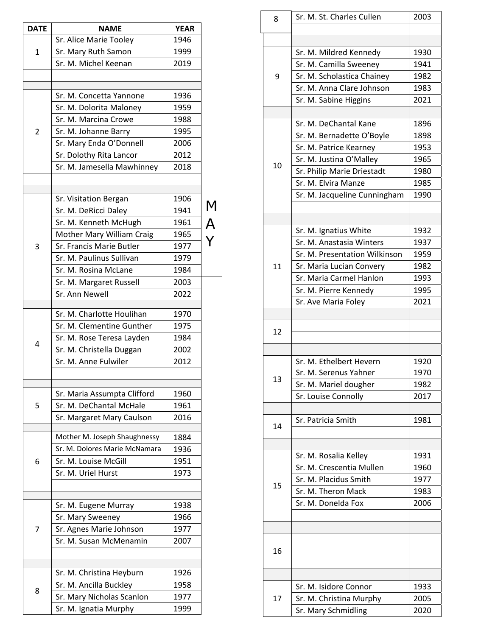| <b>DATE</b>    | <b>NAME</b>                   | <b>YEAR</b> |        |
|----------------|-------------------------------|-------------|--------|
|                | Sr. Alice Marie Tooley        | 1946        |        |
| $\mathbf{1}$   | Sr. Mary Ruth Samon           | 1999        |        |
|                | Sr. M. Michel Keenan          | 2019        |        |
|                |                               |             |        |
|                | Sr. M. Concetta Yannone       | 1936        |        |
|                | Sr. M. Dolorita Maloney       | 1959        |        |
|                | Sr. M. Marcina Crowe          | 1988        |        |
| $\overline{2}$ | Sr. M. Johanne Barry          | 1995        |        |
|                | Sr. Mary Enda O'Donnell       | 2006        |        |
|                | Sr. Dolothy Rita Lancor       | 2012        |        |
|                | Sr. M. Jamesella Mawhinney    | 2018        |        |
|                |                               |             |        |
|                | Sr. Visitation Bergan         | 1906        |        |
|                |                               | 1941        |        |
|                | Sr. M. DeRicci Daley          | 1961        | M<br>A |
|                | Sr. M. Kenneth McHugh         |             |        |
|                | Mother Mary William Craig     | 1965        |        |
| 3              | Sr. Francis Marie Butler      | 1977        |        |
|                | Sr. M. Paulinus Sullivan      | 1979        |        |
|                | Sr. M. Rosina McLane          | 1984        |        |
|                | Sr. M. Margaret Russell       | 2003        |        |
|                | Sr. Ann Newell                | 2022        |        |
|                | Sr. M. Charlotte Houlihan     | 1970        |        |
|                | Sr. M. Clementine Gunther     | 1975        |        |
|                | Sr. M. Rose Teresa Layden     | 1984        |        |
| 4              | Sr. M. Christella Duggan      | 2002        |        |
|                | Sr. M. Anne Fulwiler          | 2012        |        |
|                |                               |             |        |
|                | Sr. Maria Assumpta Clifford   | 1960        |        |
| 5              | Sr. M. DeChantal McHale       | 1961        |        |
|                | Sr. Margaret Mary Caulson     | 2016        |        |
|                | Mother M. Joseph Shaughnessy  | 1884        |        |
|                | Sr. M. Dolores Marie McNamara | 1936        |        |
| 6              | Sr. M. Louise McGill          | 1951        |        |
|                | Sr. M. Uriel Hurst            | 1973        |        |
|                |                               |             |        |
|                | Sr. M. Eugene Murray          | 1938        |        |
|                | Sr. Mary Sweeney              | 1966        |        |
| 7              | Sr. Agnes Marie Johnson       | 1977        |        |
|                | Sr. M. Susan McMenamin        | 2007        |        |
|                |                               |             |        |
|                |                               |             |        |
|                | Sr. M. Christina Heyburn      | 1926        |        |
| 8              | Sr. M. Ancilla Buckley        | 1958        |        |
|                | Sr. Mary Nicholas Scanlon     | 1977        |        |
|                | Sr. M. Ignatia Murphy         | 1999        |        |

| 8  | Sr. M. St. Charles Cullen                      | 2003         |
|----|------------------------------------------------|--------------|
|    |                                                |              |
|    |                                                |              |
|    | Sr. M. Mildred Kennedy                         | 1930         |
|    | Sr. M. Camilla Sweeney                         | 1941         |
| 9  | Sr. M. Scholastica Chainey                     | 1982         |
|    | Sr. M. Anna Clare Johnson                      | 1983         |
|    | Sr. M. Sabine Higgins                          | 2021         |
|    |                                                |              |
|    | Sr. M. DeChantal Kane                          | 1896         |
|    | Sr. M. Bernadette O'Boyle                      | 1898         |
|    | Sr. M. Patrice Kearney                         | 1953         |
| 10 | Sr. M. Justina O'Malley                        | 1965         |
|    | Sr. Philip Marie Driestadt                     | 1980         |
|    | Sr. M. Elvira Manze                            | 1985         |
|    | Sr. M. Jacqueline Cunningham                   | 1990         |
|    |                                                |              |
|    |                                                |              |
|    | Sr. M. Ignatius White                          | 1932         |
|    | Sr. M. Anastasia Winters                       | 1937         |
|    | Sr. M. Presentation Wilkinson                  | 1959         |
| 11 | Sr. Maria Lucian Convery                       | 1982         |
|    | Sr. Maria Carmel Hanlon                        | 1993         |
|    | Sr. M. Pierre Kennedy                          | 1995         |
|    | Sr. Ave Maria Foley                            | 2021         |
|    |                                                |              |
| 12 |                                                |              |
|    |                                                |              |
|    |                                                |              |
|    | Sr. M. Ethelbert Hevern                        | 1920         |
| 13 | Sr. M. Serenus Yahner                          | 1970         |
|    | Sr. M. Mariel dougher                          | 1982         |
|    | Sr. Louise Connolly                            | 2017         |
|    |                                                |              |
|    |                                                |              |
|    | Sr. Patricia Smith                             | 1981         |
| 14 |                                                |              |
|    |                                                |              |
|    | Sr. M. Rosalia Kelley                          | 1931         |
|    | Sr. M. Crescentia Mullen                       | 1960         |
|    | Sr. M. Placidus Smith                          | 1977         |
| 15 | Sr. M. Theron Mack                             | 1983         |
|    | Sr. M. Donelda Fox                             | 2006         |
|    |                                                |              |
|    |                                                |              |
|    |                                                |              |
| 16 |                                                |              |
|    |                                                |              |
|    |                                                |              |
|    | Sr. M. Isidore Connor                          | 1933         |
| 17 | Sr. M. Christina Murphy<br>Sr. Mary Schmidling | 2005<br>2020 |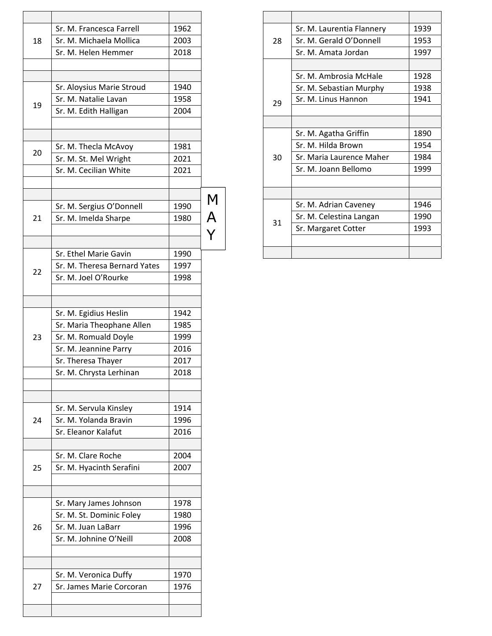|    | Sr. M. Francesca Farrell                           | 1962 |             |
|----|----------------------------------------------------|------|-------------|
| 18 | Sr. M. Michaela Mollica                            | 2003 |             |
|    | Sr. M. Helen Hemmer                                | 2018 |             |
|    |                                                    |      |             |
|    | Sr. Aloysius Marie Stroud                          | 1940 |             |
|    | Sr. M. Natalie Lavan                               | 1958 |             |
| 19 |                                                    | 2004 |             |
|    | Sr. M. Edith Halligan                              |      |             |
|    |                                                    |      |             |
| 20 | Sr. M. Thecla McAvoy                               | 1981 |             |
|    | Sr. M. St. Mel Wright                              | 2021 |             |
|    | Sr. M. Cecilian White                              | 2021 |             |
|    |                                                    |      |             |
|    | Sr. M. Sergius O'Donnell                           | 1990 |             |
| 21 | Sr. M. Imelda Sharpe                               | 1980 |             |
|    |                                                    |      | M<br>A<br>Y |
|    | Sr. Ethel Marie Gavin                              | 1990 |             |
|    | Sr. M. Theresa Bernard Yates                       | 1997 |             |
| 22 | Sr. M. Joel O'Rourke                               | 1998 |             |
|    |                                                    |      |             |
|    |                                                    |      |             |
|    | Sr. M. Egidius Heslin                              | 1942 |             |
|    | Sr. Maria Theophane Allen                          | 1985 |             |
| 23 | Sr. M. Romuald Doyle                               | 1999 |             |
|    | Sr. M. Jeannine Parry                              | 2016 |             |
|    | Sr. Theresa Thayer                                 | 2017 |             |
|    | Sr. M. Chrysta Lerhinan                            | 2018 |             |
|    |                                                    |      |             |
|    | Sr. M. Servula Kinsley                             | 1914 |             |
| 24 | Sr. M. Yolanda Bravin                              | 1996 |             |
|    | Sr. Eleanor Kalafut                                | 2016 |             |
|    | Sr. M. Clare Roche                                 | 2004 |             |
| 25 | Sr. M. Hyacinth Serafini                           | 2007 |             |
|    |                                                    |      |             |
|    |                                                    | 1978 |             |
|    | Sr. Mary James Johnson<br>Sr. M. St. Dominic Foley | 1980 |             |
|    |                                                    | 1996 |             |
| 26 | Sr. M. Juan LaBarr<br>Sr. M. Johnine O'Neill       | 2008 |             |
|    |                                                    |      |             |
|    |                                                    |      |             |
|    | Sr. M. Veronica Duffy                              | 1970 |             |
| 27 | Sr. James Marie Corcoran                           | 1976 |             |
|    |                                                    |      |             |
|    |                                                    |      |             |

|    | Sr. M. Laurentia Flannery | 1939 |
|----|---------------------------|------|
| 28 | Sr. M. Gerald O'Donnell   | 1953 |
|    | Sr. M. Amata Jordan       | 1997 |
|    |                           |      |
|    | Sr. M. Ambrosia McHale    | 1928 |
|    | Sr. M. Sebastian Murphy   | 1938 |
| 29 | Sr. M. Linus Hannon       | 1941 |
|    |                           |      |
|    |                           |      |
|    | Sr. M. Agatha Griffin     | 1890 |
|    | Sr. M. Hilda Brown        | 1954 |
| 30 | Sr. Maria Laurence Maher  | 1984 |
|    | Sr. M. Joann Bellomo      | 1999 |
|    |                           |      |
|    |                           |      |
|    | Sr. M. Adrian Caveney     | 1946 |
|    | Sr. M. Celestina Langan   | 1990 |
| 31 | Sr. Margaret Cotter       | 1993 |
|    |                           |      |
|    |                           |      |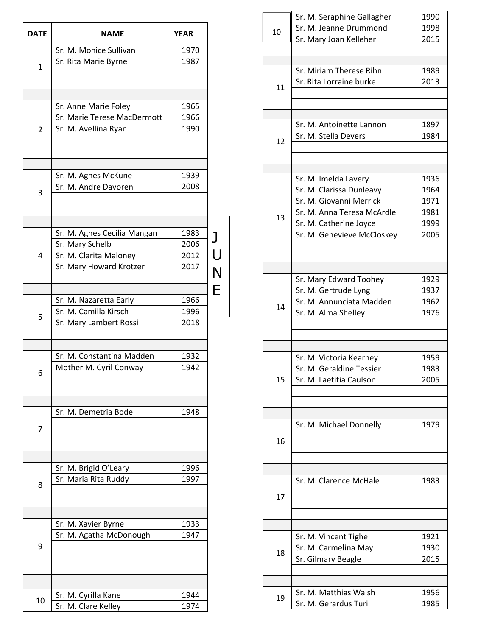| <b>DATE</b>    | <b>NAME</b>                                                               | <b>YEAR</b>          |             |
|----------------|---------------------------------------------------------------------------|----------------------|-------------|
|                | Sr. M. Monice Sullivan                                                    | 1970                 |             |
| $\mathbf{1}$   | Sr. Rita Marie Byrne                                                      | 1987                 |             |
|                | Sr. Anne Marie Foley<br>Sr. Marie Terese MacDermott                       | 1965<br>1966         |             |
| $\overline{2}$ | Sr. M. Avellina Ryan                                                      | 1990                 |             |
|                | Sr. M. Agnes McKune<br>Sr. M. Andre Davoren                               | 1939<br>2008         |             |
| 3              |                                                                           |                      |             |
| 4              | Sr. M. Agnes Cecilia Mangan<br>Sr. Mary Schelb<br>Sr. M. Clarita Maloney  | 1983<br>2006<br>2012 | J           |
|                | Sr. Mary Howard Krotzer                                                   | 2017                 | U<br>N<br>Ė |
| 5              | Sr. M. Nazaretta Early<br>Sr. M. Camilla Kirsch<br>Sr. Mary Lambert Rossi | 1966<br>1996<br>2018 |             |
|                |                                                                           |                      |             |
| 6              | Sr. M. Constantina Madden<br>Mother M. Cyril Conway                       | 1932<br>1942         |             |
| 7              | Sr. M. Demetria Bode                                                      | 1948                 |             |
|                |                                                                           |                      |             |
| 8              | Sr. M. Brigid O'Leary<br>Sr. Maria Rita Ruddy                             | 1996<br>1997         |             |
|                |                                                                           |                      |             |
| 9              | Sr. M. Xavier Byrne<br>Sr. M. Agatha McDonough                            | 1933<br>1947         |             |
|                |                                                                           |                      |             |
| 10             | Sr. M. Cyrilla Kane<br>Sr. M. Clare Kelley                                | 1944<br>1974         |             |

|    | Sr. M. Seraphine Gallagher | 1990 |
|----|----------------------------|------|
| 10 | Sr. M. Jeanne Drummond     | 1998 |
|    | Sr. Mary Joan Kelleher     | 2015 |
|    |                            |      |
|    |                            |      |
|    | Sr. Miriam Therese Rihn    | 1989 |
| 11 | Sr. Rita Lorraine burke    | 2013 |
|    |                            |      |
|    |                            |      |
|    |                            |      |
|    | Sr. M. Antoinette Lannon   | 1897 |
| 12 | Sr. M. Stella Devers       | 1984 |
|    |                            |      |
|    |                            |      |
|    | Sr. M. Imelda Lavery       | 1936 |
|    | Sr. M. Clarissa Dunleavy   | 1964 |
|    | Sr. M. Giovanni Merrick    | 1971 |
|    | Sr. M. Anna Teresa McArdle | 1981 |
| 13 | Sr. M. Catherine Joyce     | 1999 |
|    | Sr. M. Genevieve McCloskey | 2005 |
|    |                            |      |
|    |                            |      |
|    |                            |      |
|    | Sr. Mary Edward Toohey     | 1929 |
|    | Sr. M. Gertrude Lyng       | 1937 |
|    | Sr. M. Annunciata Madden   | 1962 |
| 14 | Sr. M. Alma Shelley        | 1976 |
|    |                            |      |
|    |                            |      |
|    |                            |      |
|    | Sr. M. Victoria Kearney    | 1959 |
|    | Sr. M. Geraldine Tessier   | 1983 |
| 15 | Sr. M. Laetitia Caulson    | 2005 |
|    |                            |      |
|    |                            |      |
|    |                            |      |
|    | Sr. M. Michael Donnelly    | 1979 |
| 16 |                            |      |
|    |                            |      |
|    |                            |      |
|    |                            |      |
|    | Sr. M. Clarence McHale     | 1983 |
| 17 |                            |      |
|    |                            |      |
|    |                            |      |
|    |                            |      |
|    | Sr. M. Vincent Tighe       | 1921 |
| 18 | Sr. M. Carmelina May       | 1930 |
|    | Sr. Gilmary Beagle         | 2015 |
|    |                            |      |
|    |                            |      |
| 19 | Sr. M. Matthias Walsh      | 1956 |
|    | Sr. M. Gerardus Turi       | 1985 |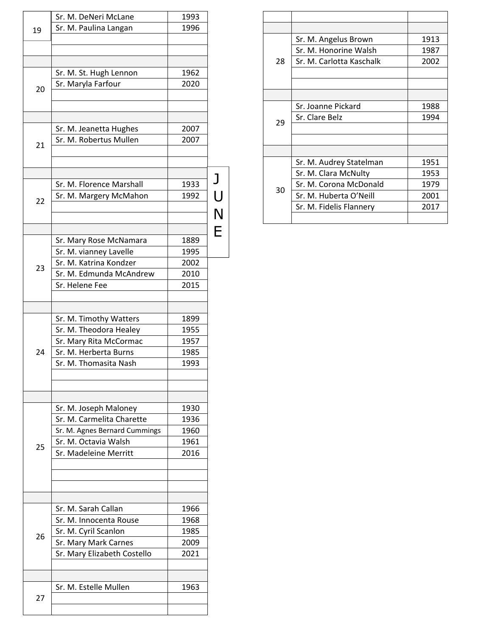|    | Sr. M. DeNeri McLane          | 1993 |              |
|----|-------------------------------|------|--------------|
| 19 | Sr. M. Paulina Langan         | 1996 |              |
|    |                               |      |              |
|    |                               |      |              |
|    |                               |      |              |
|    | Sr. M. St. Hugh Lennon        | 1962 |              |
|    | Sr. Maryla Farfour            | 2020 |              |
| 20 |                               |      |              |
|    |                               |      |              |
|    |                               |      |              |
|    |                               |      |              |
|    | Sr. M. Jeanetta Hughes        | 2007 |              |
|    | Sr. M. Robertus Mullen        | 2007 |              |
| 21 |                               |      |              |
|    |                               |      |              |
|    |                               |      |              |
|    |                               |      | $\mathsf{J}$ |
|    | Sr. M. Florence Marshall      | 1933 |              |
| 22 | Sr. M. Margery McMahon        | 1992 |              |
|    |                               |      | U<br>N       |
|    |                               |      |              |
|    |                               |      | Ė            |
|    | Sr. Mary Rose McNamara        | 1889 |              |
|    | Sr. M. vianney Lavelle        | 1995 |              |
|    |                               |      |              |
| 23 | Sr. M. Katrina Kondzer        | 2002 |              |
|    | Sr. M. Edmunda McAndrew       | 2010 |              |
|    | Sr. Helene Fee                | 2015 |              |
|    |                               |      |              |
|    |                               |      |              |
|    | Sr. M. Timothy Watters        | 1899 |              |
|    | Sr. M. Theodora Healey        | 1955 |              |
|    | Sr. Mary Rita McCormac        | 1957 |              |
|    |                               |      |              |
| 24 | Sr. M. Herberta Burns         | 1985 |              |
|    | Sr. M. Thomasita Nash         | 1993 |              |
|    |                               |      |              |
|    |                               |      |              |
|    |                               |      |              |
|    | Sr. M. Joseph Maloney         | 1930 |              |
|    | Sr. M. Carmelita Charette     | 1936 |              |
|    |                               |      |              |
|    | Sr. M. Agnes Bernard Cummings | 1960 |              |
| 25 | Sr. M. Octavia Walsh          | 1961 |              |
|    | Sr. Madeleine Merritt         | 2016 |              |
|    |                               |      |              |
|    |                               |      |              |
|    |                               |      |              |
|    |                               |      |              |
|    | Sr. M. Sarah Callan           | 1966 |              |
|    |                               |      |              |
|    | Sr. M. Innocenta Rouse        | 1968 |              |
| 26 | Sr. M. Cyril Scanlon          | 1985 |              |
|    | Sr. Mary Mark Carnes          | 2009 |              |
|    | Sr. Mary Elizabeth Costello   | 2021 |              |
|    |                               |      |              |
|    |                               |      |              |
|    | Sr. M. Estelle Mullen         | 1963 |              |
| 27 |                               |      |              |
|    |                               |      |              |
|    |                               |      |              |

|    | Sr. M. Angelus Brown     | 1913 |
|----|--------------------------|------|
|    | Sr. M. Honorine Walsh    | 1987 |
| 28 | Sr. M. Carlotta Kaschalk | 2002 |
|    |                          |      |
|    |                          |      |
|    |                          |      |
|    | Sr. Joanne Pickard       | 1988 |
| 29 | Sr. Clare Belz           | 1994 |
|    |                          |      |
|    |                          |      |
|    |                          |      |
|    | Sr. M. Audrey Statelman  | 1951 |
|    | Sr. M. Clara McNulty     | 1953 |
| 30 | Sr. M. Corona McDonald   | 1979 |
|    | Sr. M. Huberta O'Neill   | 2001 |
|    | Sr. M. Fidelis Flannery  | 2017 |
|    |                          |      |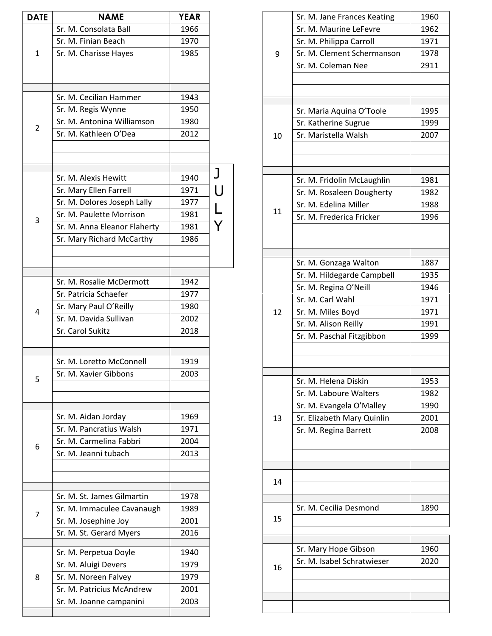| <b>DATE</b>  | <b>NAME</b>                  | <b>YEAR</b> |                |
|--------------|------------------------------|-------------|----------------|
|              | Sr. M. Consolata Ball        | 1966        |                |
| $\mathbf{1}$ | Sr. M. Finian Beach          | 1970        |                |
|              | Sr. M. Charisse Hayes        | 1985        |                |
|              |                              |             |                |
|              | Sr. M. Cecilian Hammer       | 1943        |                |
|              | Sr. M. Regis Wynne           | 1950        |                |
| 2            | Sr. M. Antonina Williamson   | 1980        |                |
|              | Sr. M. Kathleen O'Dea        | 2012        |                |
|              |                              |             |                |
|              | Sr. M. Alexis Hewitt         | 1940        | J              |
|              | Sr. Mary Ellen Farrell       | 1971        | $\bigcup$      |
|              | Sr. M. Dolores Joseph Lally  | 1977        | $\overline{L}$ |
| 3            | Sr. M. Paulette Morrison     | 1981        |                |
|              | Sr. M. Anna Eleanor Flaherty | 1981        |                |
|              | Sr. Mary Richard McCarthy    | 1986        |                |
|              |                              |             |                |
|              | Sr. M. Rosalie McDermott     | 1942        |                |
|              | Sr. Patricia Schaefer        | 1977        |                |
| 4            | Sr. Mary Paul O'Reilly       | 1980        |                |
|              | Sr. M. Davida Sullivan       | 2002        |                |
|              | Sr. Carol Sukitz             | 2018        |                |
|              | Sr. M. Loretto McConnell     | 1919        |                |
| 5            | Sr. M. Xavier Gibbons        | 2003        |                |
|              |                              |             |                |
|              | Sr. M. Aidan Jorday          | 1969        |                |
|              | Sr. M. Pancratius Walsh      | 1971        |                |
| 6            | Sr. M. Carmelina Fabbri      | 2004        |                |
|              | Sr. M. Jeanni tubach         | 2013        |                |
|              |                              |             |                |
|              | Sr. M. St. James Gilmartin   | 1978        |                |
| 7            | Sr. M. Immaculee Cavanaugh   | 1989        |                |
|              | Sr. M. Josephine Joy         | 2001        |                |
|              | Sr. M. St. Gerard Myers      | 2016        |                |
|              | Sr. M. Perpetua Doyle        | 1940        |                |
|              | Sr. M. Aluigi Devers         | 1979        |                |
| 8            | Sr. M. Noreen Falvey         | 1979        |                |
|              | Sr. M. Patricius McAndrew    | 2001        |                |
|              | Sr. M. Joanne campanini      | 2003        |                |
|              |                              |             |                |

|    | Sr. M. Jane Frances Keating | 1960 |
|----|-----------------------------|------|
|    | Sr. M. Maurine LeFevre      | 1962 |
|    | Sr. M. Philippa Carroll     | 1971 |
| 9  | Sr. M. Clement Schermanson  | 1978 |
|    | Sr. M. Coleman Nee          | 2911 |
|    |                             |      |
|    |                             |      |
|    |                             |      |
|    | Sr. Maria Aquina O'Toole    | 1995 |
|    | Sr. Katherine Sugrue        | 1999 |
| 10 | Sr. Maristella Walsh        | 2007 |
|    |                             |      |
|    |                             |      |
|    | Sr. M. Fridolin McLaughlin  | 1981 |
|    | Sr. M. Rosaleen Dougherty   | 1982 |
|    | Sr. M. Edelina Miller       | 1988 |
| 11 | Sr. M. Frederica Fricker    | 1996 |
|    |                             |      |
|    |                             |      |
|    |                             |      |
|    | Sr. M. Gonzaga Walton       | 1887 |
|    | Sr. M. Hildegarde Campbell  | 1935 |
|    | Sr. M. Regina O'Neill       | 1946 |
|    | Sr. M. Carl Wahl            | 1971 |
| 12 | Sr. M. Miles Boyd           | 1971 |
|    | Sr. M. Alison Reilly        | 1991 |
|    | Sr. M. Paschal Fitzgibbon   | 1999 |
|    |                             |      |
|    |                             |      |
|    | Sr. M. Helena Diskin        | 1953 |
|    | Sr. M. Laboure Walters      | 1982 |
|    | Sr. M. Evangela O'Malley    | 1990 |
| 13 | Sr. Elizabeth Mary Quinlin  | 2001 |
|    | Sr. M. Regina Barrett       | 2008 |
|    |                             |      |
|    |                             |      |
|    |                             |      |
| 14 |                             |      |
|    |                             |      |
|    | Sr. M. Cecilia Desmond      | 1890 |
| 15 |                             |      |
|    |                             |      |
|    |                             |      |
|    | Sr. Mary Hope Gibson        | 1960 |
| 16 | Sr. M. Isabel Schratwieser  | 2020 |
|    |                             |      |
|    |                             |      |
|    |                             |      |
|    |                             |      |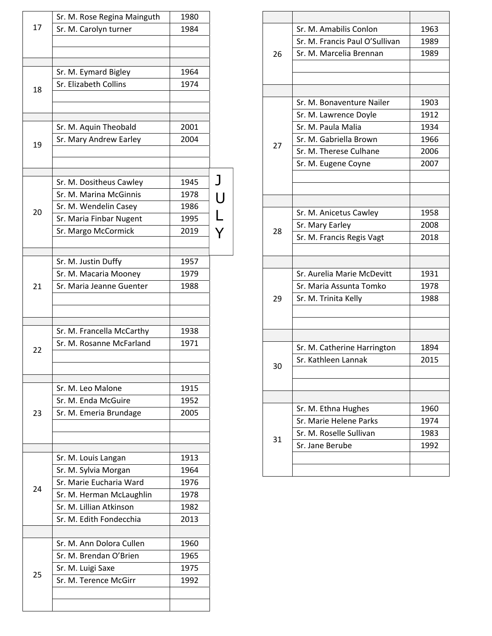|    | Sr. M. Rose Regina Mainguth | 1980 |              |
|----|-----------------------------|------|--------------|
| 17 | Sr. M. Carolyn turner       | 1984 |              |
|    |                             |      |              |
|    |                             |      |              |
|    | Sr. M. Eymard Bigley        | 1964 |              |
|    | Sr. Elizabeth Collins       | 1974 |              |
| 18 |                             |      |              |
|    |                             |      |              |
|    | Sr. M. Aquin Theobald       | 2001 |              |
|    | Sr. Mary Andrew Earley      | 2004 |              |
| 19 |                             |      |              |
|    |                             |      |              |
|    | Sr. M. Dositheus Cawley     | 1945 | $\mathsf{J}$ |
|    | Sr. M. Marina McGinnis      | 1978 | U<br>V<br>Y  |
| 20 | Sr. M. Wendelin Casey       | 1986 |              |
|    | Sr. Maria Finbar Nugent     | 1995 |              |
|    | Sr. Margo McCormick         | 2019 |              |
|    | Sr. M. Justin Duffy         | 1957 |              |
|    | Sr. M. Macaria Mooney       | 1979 |              |
| 21 | Sr. Maria Jeanne Guenter    | 1988 |              |
|    |                             |      |              |
|    | Sr. M. Francella McCarthy   | 1938 |              |
|    | Sr. M. Rosanne McFarland    | 1971 |              |
| 22 |                             |      |              |
|    |                             |      |              |
|    | Sr. M. Leo Malone           | 1915 |              |
|    | Sr. M. Enda McGuire         | 1952 |              |
| 23 | Sr. M. Emeria Brundage      | 2005 |              |
|    |                             |      |              |
|    | Sr. M. Louis Langan         | 1913 |              |
|    | Sr. M. Sylvia Morgan        | 1964 |              |
| 24 | Sr. Marie Eucharia Ward     | 1976 |              |
|    | Sr. M. Herman McLaughlin    | 1978 |              |
|    | Sr. M. Lillian Atkinson     | 1982 |              |
|    | Sr. M. Edith Fondecchia     | 2013 |              |
|    | Sr. M. Ann Dolora Cullen    | 1960 |              |
|    | Sr. M. Brendan O'Brien      | 1965 |              |
|    | Sr. M. Luigi Saxe           | 1975 |              |
| 25 | Sr. M. Terence McGirr       | 1992 |              |
|    |                             |      |              |
|    |                             |      |              |

|    | Sr. M. Amabilis Conlon         | 1963 |
|----|--------------------------------|------|
|    | Sr. M. Francis Paul O'Sullivan | 1989 |
| 26 | Sr. M. Marcelia Brennan        | 1989 |
|    |                                |      |
|    |                                |      |
|    |                                |      |
|    | Sr. M. Bonaventure Nailer      | 1903 |
|    | Sr. M. Lawrence Doyle          | 1912 |
|    | Sr. M. Paula Malia             | 1934 |
|    | Sr. M. Gabriella Brown         | 1966 |
| 27 | Sr. M. Therese Culhane         | 2006 |
|    | Sr. M. Eugene Coyne            | 2007 |
|    |                                |      |
|    |                                |      |
|    |                                |      |
|    | Sr. M. Anicetus Cawley         | 1958 |
|    | Sr. Mary Earley                | 2008 |
| 28 | Sr. M. Francis Regis Vagt      | 2018 |
|    |                                |      |
|    |                                |      |
|    | Sr. Aurelia Marie McDevitt     | 1931 |
|    | Sr. Maria Assunta Tomko        | 1978 |
| 29 | Sr. M. Trinita Kelly           | 1988 |
|    |                                |      |
|    |                                |      |
|    |                                |      |
|    | Sr. M. Catherine Harrington    | 1894 |
|    | Sr. Kathleen Lannak            | 2015 |
| 30 |                                |      |
|    |                                |      |
|    |                                |      |
|    | Sr. M. Ethna Hughes            | 1960 |
|    | Sr. Marie Helene Parks         | 1974 |
|    | Sr. M. Roselle Sullivan        | 1983 |
| 31 | Sr. Jane Berube                | 1992 |
|    |                                |      |
|    |                                |      |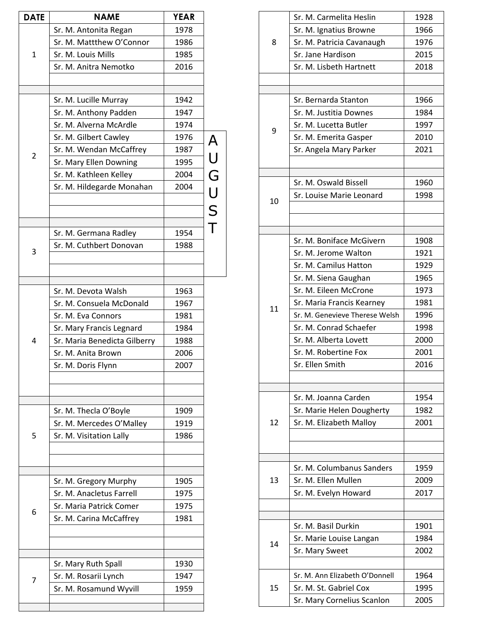| <b>DATE</b>    | <b>NAME</b>                  | <b>YEAR</b> |        |
|----------------|------------------------------|-------------|--------|
|                | Sr. M. Antonita Regan        | 1978        |        |
| 1              | Sr. M. Mattthew O'Connor     | 1986        |        |
|                | Sr. M. Louis Mills           | 1985        |        |
|                | Sr. M. Anitra Nemotko        | 2016        |        |
|                |                              |             |        |
|                | Sr. M. Lucille Murray        | 1942        |        |
|                | Sr. M. Anthony Padden        | 1947        |        |
|                | Sr. M. Alverna McArdle       | 1974        |        |
|                | Sr. M. Gilbert Cawley        | 1976        |        |
|                | Sr. M. Wendan McCaffrey      | 1987        |        |
| $\overline{2}$ |                              |             |        |
|                | Sr. Mary Ellen Downing       | 1995        |        |
|                | Sr. M. Kathleen Kelley       | 2004        |        |
|                | Sr. M. Hildegarde Monahan    | 2004        |        |
|                |                              |             |        |
|                |                              |             | AUGUST |
|                | Sr. M. Germana Radley        | 1954        |        |
|                | Sr. M. Cuthbert Donovan      | 1988        |        |
| 3              |                              |             |        |
|                |                              |             |        |
|                | Sr. M. Devota Walsh          | 1963        |        |
|                | Sr. M. Consuela McDonald     | 1967        |        |
|                | Sr. M. Eva Connors           | 1981        |        |
|                | Sr. Mary Francis Legnard     | 1984        |        |
| 4              | Sr. Maria Benedicta Gilberry | 1988        |        |
|                | Sr. M. Anita Brown           | 2006        |        |
|                | Sr. M. Doris Flynn           | 2007        |        |
|                |                              |             |        |
|                |                              |             |        |
|                | Sr. M. Thecla O'Boyle        | 1909        |        |
|                | Sr. M. Mercedes O'Malley     | 1919        |        |
| 5              | Sr. M. Visitation Lally      | 1986        |        |
|                |                              |             |        |
|                |                              |             |        |
|                | Sr. M. Gregory Murphy        | 1905        |        |
|                | Sr. M. Anacletus Farrell     | 1975        |        |
|                | Sr. Maria Patrick Comer      | 1975        |        |
| 6              | Sr. M. Carina McCaffrey      | 1981        |        |
|                |                              |             |        |
|                |                              |             |        |
|                | Sr. Mary Ruth Spall          | 1930        |        |
|                | Sr. M. Rosarii Lynch         | 1947        |        |
| 7              | Sr. M. Rosamund Wyvill       | 1959        |        |
|                |                              |             |        |
|                |                              |             |        |

| 8  | Sr. M. Carmelita Heslin        | 1928 |
|----|--------------------------------|------|
|    | Sr. M. Ignatius Browne         | 1966 |
|    | Sr. M. Patricia Cavanaugh      | 1976 |
|    | Sr. Jane Hardison              | 2015 |
|    | Sr. M. Lisbeth Hartnett        | 2018 |
|    |                                |      |
|    |                                |      |
|    | Sr. Bernarda Stanton           | 1966 |
|    | Sr. M. Justitia Downes         | 1984 |
| 9  | Sr. M. Lucetta Butler          | 1997 |
|    | Sr. M. Emerita Gasper          | 2010 |
|    | Sr. Angela Mary Parker         | 2021 |
|    |                                |      |
|    | Sr. M. Oswald Bissell          | 1960 |
|    | Sr. Louise Marie Leonard       | 1998 |
| 10 |                                |      |
|    |                                |      |
|    |                                |      |
|    | Sr. M. Boniface McGivern       | 1908 |
|    | Sr. M. Jerome Walton           | 1921 |
|    | Sr. M. Camilus Hatton          | 1929 |
|    | Sr. M. Siena Gaughan           | 1965 |
|    | Sr. M. Eileen McCrone          | 1973 |
|    | Sr. Maria Francis Kearney      | 1981 |
| 11 | Sr. M. Genevieve Therese Welsh | 1996 |
|    | Sr. M. Conrad Schaefer         | 1998 |
|    | Sr. M. Alberta Lovett          | 2000 |
|    | Sr. M. Robertine Fox           | 2001 |
|    | Sr. Ellen Smith                | 2016 |
|    |                                |      |
|    |                                |      |
|    | Sr. M. Joanna Carden           | 1954 |
|    | Sr. Marie Helen Dougherty      | 1982 |
| 12 | Sr. M. Elizabeth Malloy        | 2001 |
|    |                                |      |
|    |                                |      |
|    | Sr. M. Columbanus Sanders      | 1959 |
| 13 | Sr. M. Ellen Mullen            | 2009 |
|    | Sr. M. Evelyn Howard           | 2017 |
|    |                                |      |
|    |                                |      |
|    | Sr. M. Basil Durkin            | 1901 |
| 14 | Sr. Marie Louise Langan        | 1984 |
|    | Sr. Mary Sweet                 | 2002 |
|    |                                |      |
|    | Sr. M. Ann Elizabeth O'Donnell | 1964 |
| 15 | Sr. M. St. Gabriel Cox         | 1995 |
|    | Sr. Mary Cornelius Scanlon     | 2005 |
|    |                                |      |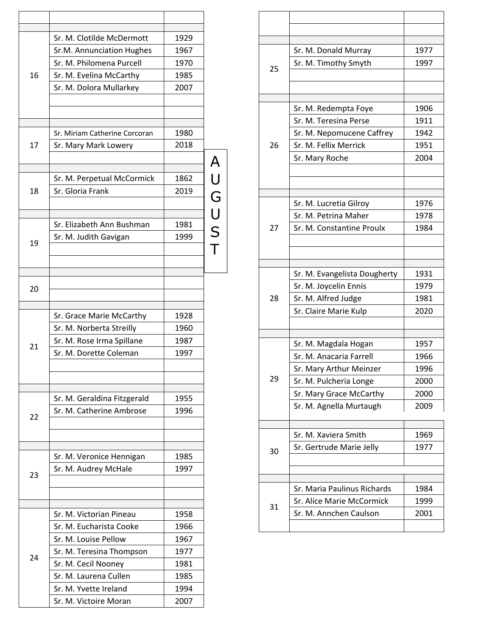|    | Sr. M. Clotilde McDermott     | 1929 |        |
|----|-------------------------------|------|--------|
|    | Sr.M. Annunciation Hughes     | 1967 |        |
|    | Sr. M. Philomena Purcell      | 1970 |        |
| 16 | Sr. M. Evelina McCarthy       | 1985 |        |
|    | Sr. M. Dolora Mullarkey       | 2007 |        |
|    |                               |      |        |
|    | Sr. Miriam Catherine Corcoran | 1980 |        |
| 17 | Sr. Mary Mark Lowery          | 2018 |        |
|    |                               |      |        |
|    | Sr. M. Perpetual McCormick    | 1862 |        |
| 18 | Sr. Gloria Frank              | 2019 |        |
|    |                               |      |        |
|    | Sr. Elizabeth Ann Bushman     | 1981 | AUGUST |
|    | Sr. M. Judith Gavigan         | 1999 |        |
| 19 |                               |      |        |
|    |                               |      |        |
|    |                               |      |        |
| 20 |                               |      |        |
|    | Sr. Grace Marie McCarthy      | 1928 |        |
|    | Sr. M. Norberta Streilly      | 1960 |        |
|    | Sr. M. Rose Irma Spillane     | 1987 |        |
| 21 | Sr. M. Dorette Coleman        | 1997 |        |
|    |                               |      |        |
|    |                               |      |        |
|    | Sr. M. Geraldina Fitzgerald   | 1955 |        |
| 22 | Sr. M. Catherine Ambrose      | 1996 |        |
|    |                               |      |        |
|    | Sr. M. Veronice Hennigan      | 1985 |        |
|    | Sr. M. Audrey McHale          | 1997 |        |
| 23 |                               |      |        |
|    |                               |      |        |
|    | Sr. M. Victorian Pineau       | 1958 |        |
|    | Sr. M. Eucharista Cooke       | 1966 |        |
|    | Sr. M. Louise Pellow          | 1967 |        |
| 24 | Sr. M. Teresina Thompson      | 1977 |        |
|    | Sr. M. Cecil Nooney           | 1981 |        |
|    | Sr. M. Laurena Cullen         | 1985 |        |
|    | Sr. M. Yvette Ireland         | 1994 |        |
|    | Sr. M. Victoire Moran         | 2007 |        |

|    | Sr. M. Donald Murray         | 1977 |
|----|------------------------------|------|
| 25 | Sr. M. Timothy Smyth         | 1997 |
|    |                              |      |
|    |                              |      |
|    | Sr. M. Redempta Foye         | 1906 |
|    | Sr. M. Teresina Perse        | 1911 |
|    | Sr. M. Nepomucene Caffrey    | 1942 |
| 26 | Sr. M. Fellix Merrick        | 1951 |
|    | Sr. Mary Roche               | 2004 |
|    |                              |      |
|    |                              |      |
|    |                              |      |
|    | Sr. M. Lucretia Gilroy       | 1976 |
|    | Sr. M. Petrina Maher         | 1978 |
| 27 | Sr. M. Constantine Proulx    | 1984 |
|    |                              |      |
|    |                              |      |
|    |                              |      |
|    | Sr. M. Evangelista Dougherty | 1931 |
|    | Sr. M. Joycelin Ennis        | 1979 |
| 28 | Sr. M. Alfred Judge          | 1981 |
|    | Sr. Claire Marie Kulp        | 2020 |
|    |                              |      |
|    | Sr. M. Magdala Hogan         | 1957 |
|    | Sr. M. Anacaria Farrell      | 1966 |
|    | Sr. Mary Arthur Meinzer      | 1996 |
| 29 | Sr. M. Pulcheria Longe       | 2000 |
|    | Sr. Mary Grace McCarthy      | 2000 |
|    | Sr. M. Agnella Murtaugh      | 2009 |
|    |                              |      |
|    |                              |      |
|    | Sr. M. Xaviera Smith         | 1969 |
| 30 | Sr. Gertrude Marie Jelly     | 1977 |
|    |                              |      |
|    |                              |      |
|    | Sr. Maria Paulinus Richards  | 1984 |
|    | Sr. Alice Marie McCormick    | 1999 |
| 31 | Sr. M. Annchen Caulson       | 2001 |
|    |                              |      |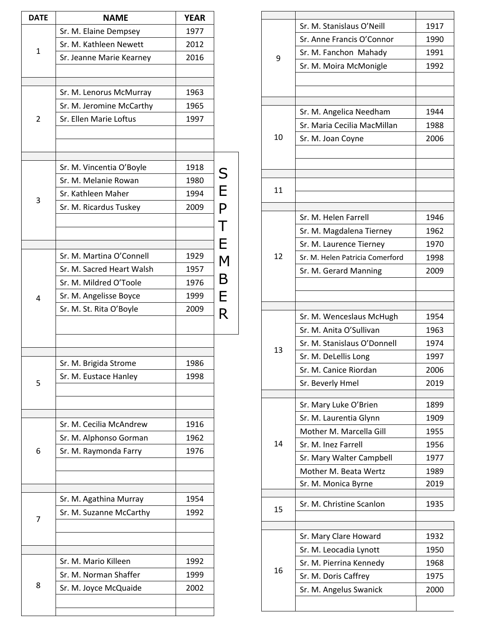| <b>DATE</b> | <b>NAME</b>               | <b>YEAR</b>  |                |
|-------------|---------------------------|--------------|----------------|
|             | Sr. M. Elaine Dempsey     | 1977         |                |
| 1           | Sr. M. Kathleen Newett    | 2012         |                |
|             | Sr. Jeanne Marie Kearney  | 2016         |                |
|             |                           |              |                |
|             | Sr. M. Lenorus McMurray   | 1963         |                |
|             | Sr. M. Jeromine McCarthy  | 1965         |                |
| 2           | Sr. Ellen Marie Loftus    | 1997         |                |
|             |                           |              |                |
|             | Sr. M. Vincentia O'Boyle  | 1918         |                |
|             | Sr. M. Melanie Rowan      | 1980         |                |
| 3           | Sr. Kathleen Maher        | 1994         |                |
|             | Sr. M. Ricardus Tuskey    | 2009         | S<br>E<br>P    |
|             |                           |              | $\mathsf T$    |
|             | Sr. M. Martina O'Connell  |              | E<br>M         |
|             | Sr. M. Sacred Heart Walsh | 1929<br>1957 |                |
|             | Sr. M. Mildred O'Toole    | 1976         | $\overline{B}$ |
|             |                           |              |                |
| 4           | Sr. M. Angelisse Boyce    | 1999<br>2009 | E              |
|             | Sr. M. St. Rita O'Boyle   |              | R              |
|             |                           |              |                |
|             | Sr. M. Brigida Strome     | 1986         |                |
| 5           | Sr. M. Eustace Hanley     | 1998         |                |
|             | Sr. M. Cecilia McAndrew   | 1916         |                |
|             | Sr. M. Alphonso Gorman    | 1962         |                |
| 6           | Sr. M. Raymonda Farry     | 1976         |                |
|             |                           |              |                |
|             | Sr. M. Agathina Murray    | 1954         |                |
| 7           | Sr. M. Suzanne McCarthy   | 1992         |                |
|             |                           |              |                |
|             | Sr. M. Mario Killeen      | 1992         |                |
|             | Sr. M. Norman Shaffer     | 1999         |                |
| 8           | Sr. M. Joyce McQuaide     | 2002         |                |
|             |                           |              |                |

|    | Sr. M. Stanislaus O'Neill       | 1917 |
|----|---------------------------------|------|
| 9  | Sr. Anne Francis O'Connor       | 1990 |
|    | Sr. M. Fanchon Mahady           | 1991 |
|    | Sr. M. Moira McMonigle          | 1992 |
|    |                                 |      |
|    |                                 |      |
|    |                                 |      |
|    | Sr. M. Angelica Needham         | 1944 |
|    | Sr. Maria Cecilia MacMillan     | 1988 |
| 10 | Sr. M. Joan Coyne               | 2006 |
|    |                                 |      |
|    |                                 |      |
|    |                                 |      |
| 11 |                                 |      |
|    |                                 |      |
|    | Sr. M. Helen Farrell            | 1946 |
|    | Sr. M. Magdalena Tierney        | 1962 |
|    | Sr. M. Laurence Tierney         | 1970 |
| 12 | Sr. M. Helen Patricia Comerford | 1998 |
|    | Sr. M. Gerard Manning           | 2009 |
|    |                                 |      |
|    |                                 |      |
|    | Sr. M. Wenceslaus McHugh        | 1954 |
|    | Sr. M. Anita O'Sullivan         | 1963 |
|    | Sr. M. Stanislaus O'Donnell     | 1974 |
| 13 | Sr. M. DeLellis Long            | 1997 |
|    | Sr. M. Canice Riordan           | 2006 |
|    | Sr. Beverly Hmel                | 2019 |
|    |                                 |      |
|    | Sr. Mary Luke O'Brien           | 1899 |
|    | Sr. M. Laurentia Glynn          | 1909 |
|    | Mother M. Marcella Gill         | 1955 |
| 14 | Sr. M. Inez Farrell             | 1956 |
|    | Sr. Mary Walter Campbell        | 1977 |
|    | Mother M. Beata Wertz           | 1989 |
|    | Sr. M. Monica Byrne             | 2019 |
|    | Sr. M. Christine Scanlon        | 1935 |
| 15 |                                 |      |
|    |                                 |      |
|    | Sr. Mary Clare Howard           | 1932 |
|    | Sr. M. Leocadia Lynott          | 1950 |
| 16 | Sr. M. Pierrina Kennedy         | 1968 |
|    | Sr. M. Doris Caffrey            | 1975 |
|    | Sr. M. Angelus Swanick          | 2000 |
|    |                                 |      |
|    |                                 |      |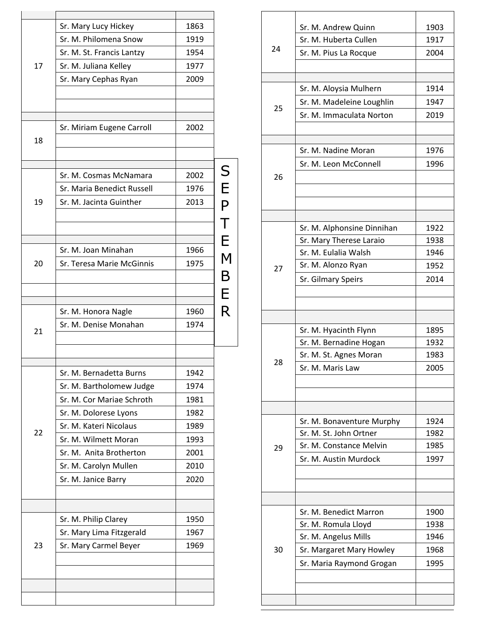|    | Sr. Mary Lucy Hickey                            | 1863         |                |
|----|-------------------------------------------------|--------------|----------------|
|    | Sr. M. Philomena Snow                           | 1919         |                |
|    | Sr. M. St. Francis Lantzy                       | 1954         |                |
| 17 | Sr. M. Juliana Kelley                           | 1977         |                |
|    | Sr. Mary Cephas Ryan                            | 2009         |                |
|    |                                                 |              |                |
|    |                                                 |              |                |
|    |                                                 |              |                |
| 18 | Sr. Miriam Eugene Carroll                       | 2002         |                |
|    |                                                 |              |                |
|    |                                                 |              |                |
|    | Sr. M. Cosmas McNamara                          | 2002         | S<br>E<br>P    |
|    | Sr. Maria Benedict Russell                      | 1976         |                |
| 19 | Sr. M. Jacinta Guinther                         | 2013         |                |
|    |                                                 |              |                |
|    |                                                 |              | $\mathsf T$    |
|    |                                                 |              | E              |
|    | Sr. M. Joan Minahan                             | 1966         | $\overline{M}$ |
| 20 | Sr. Teresa Marie McGinnis                       | 1975         |                |
|    |                                                 |              | B              |
|    |                                                 |              | E              |
|    | Sr. M. Honora Nagle                             | 1960         | R              |
|    | Sr. M. Denise Monahan                           | 1974         |                |
| 21 |                                                 |              |                |
|    |                                                 |              |                |
|    |                                                 |              |                |
|    | Sr. M. Bernadetta Burns                         | 1942         |                |
|    | Sr. M. Bartholomew Judge                        | 1974         |                |
|    | Sr. M. Cor Mariae Schroth                       | 1981         |                |
|    | Sr. M. Dolorese Lyons<br>Sr. M. Kateri Nicolaus | 1982         |                |
| 22 |                                                 | 1989         |                |
|    | Sr. M. Wilmett Moran<br>Sr. M. Anita Brotherton | 1993         |                |
|    |                                                 | 2001<br>2010 |                |
|    | Sr. M. Carolyn Mullen                           | 2020         |                |
|    | Sr. M. Janice Barry                             |              |                |
|    |                                                 |              |                |
|    | Sr. M. Philip Clarey                            | 1950         |                |
| 23 | Sr. Mary Lima Fitzgerald                        | 1967         |                |
|    | Sr. Mary Carmel Beyer                           | 1969         |                |
|    |                                                 |              |                |
|    |                                                 |              |                |
|    |                                                 |              |                |
|    |                                                 |              |                |
|    |                                                 |              |                |

|    | Sr. M. Andrew Quinn        | 1903 |
|----|----------------------------|------|
|    | Sr. M. Huberta Cullen      | 1917 |
| 24 | Sr. M. Pius La Rocque      | 2004 |
|    |                            |      |
|    |                            |      |
|    | Sr. M. Aloysia Mulhern     | 1914 |
|    |                            |      |
| 25 | Sr. M. Madeleine Loughlin  | 1947 |
|    | Sr. M. Immaculata Norton   | 2019 |
|    |                            |      |
|    | Sr. M. Nadine Moran        |      |
|    |                            | 1976 |
|    | Sr. M. Leon McConnell      | 1996 |
| 26 |                            |      |
|    |                            |      |
|    |                            |      |
|    |                            |      |
|    | Sr. M. Alphonsine Dinnihan | 1922 |
|    | Sr. Mary Therese Laraio    | 1938 |
|    | Sr. M. Eulalia Walsh       | 1946 |
| 27 | Sr. M. Alonzo Ryan         | 1952 |
|    | Sr. Gilmary Speirs         | 2014 |
|    |                            |      |
|    |                            |      |
|    |                            |      |
|    | Sr. M. Hyacinth Flynn      | 1895 |
|    | Sr. M. Bernadine Hogan     | 1932 |
|    | Sr. M. St. Agnes Moran     | 1983 |
| 28 | Sr. M. Maris Law           | 2005 |
|    |                            |      |
|    |                            |      |
|    |                            |      |
|    |                            |      |
|    | Sr. M. Bonaventure Murphy  | 1924 |
|    | Sr. M. St. John Ortner     | 1982 |
| 29 | Sr. M. Constance Melvin    | 1985 |
|    | Sr. M. Austin Murdock      | 1997 |
|    |                            |      |
|    |                            |      |
|    |                            |      |
|    | Sr. M. Benedict Marron     | 1900 |
|    | Sr. M. Romula Lloyd        | 1938 |
|    | Sr. M. Angelus Mills       | 1946 |
| 30 | Sr. Margaret Mary Howley   | 1968 |
|    | Sr. Maria Raymond Grogan   | 1995 |
|    |                            |      |
|    |                            |      |
|    |                            |      |
|    |                            |      |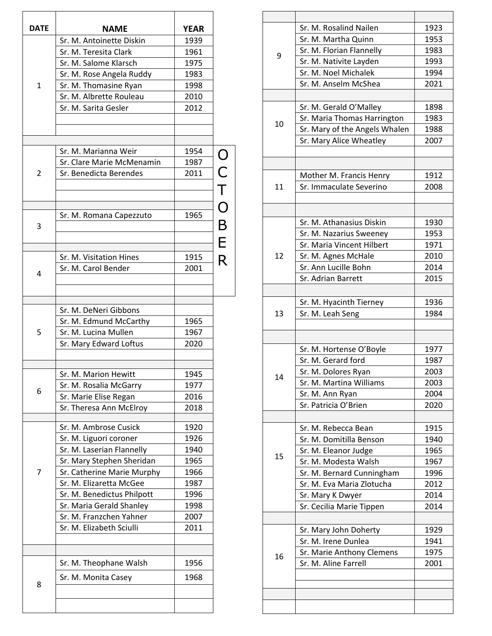| <b>DATE</b>    | <b>NAME</b>                                     | <b>YEAR</b>  |         |
|----------------|-------------------------------------------------|--------------|---------|
|                | Sr. M. Antoinette Diskin                        | 1939         |         |
|                | Sr. M. Teresita Clark                           | 1961         |         |
|                | Sr. M. Salome Klarsch                           | 1975         |         |
|                | Sr. M. Rose Angela Ruddy                        | 1983         |         |
| $\mathbf{1}$   | Sr. M. Thomasine Ryan                           | 1998         |         |
|                | Sr. M. Albrette Rouleau                         | 2010         |         |
|                | Sr. M. Sarita Gesler                            | 2012         |         |
|                |                                                 |              |         |
|                |                                                 |              |         |
|                | Sr. M. Marianna Weir                            | 1954         |         |
|                | Sr. Clare Marie McMenamin                       | 1987         |         |
| $\overline{2}$ | Sr. Benedicta Berendes                          | 2011         |         |
|                |                                                 |              |         |
|                |                                                 |              |         |
|                |                                                 |              |         |
|                | Sr. M. Romana Capezzuto                         | 1965         |         |
| 3              |                                                 |              | OCTOBER |
|                |                                                 |              |         |
|                | Sr. M. Visitation Hines                         | 1915         |         |
|                | Sr. M. Carol Bender                             | 2001         |         |
| 4              |                                                 |              |         |
|                |                                                 |              |         |
|                |                                                 |              |         |
|                | Sr. M. DeNeri Gibbons                           |              |         |
| 5              | Sr. M. Edmund McCarthy<br>Sr. M. Lucina Mullen  | 1965<br>1967 |         |
|                | Sr. Mary Edward Loftus                          |              |         |
|                |                                                 | 2020         |         |
|                | Sr. M. Marion Hewitt                            | 1945         |         |
|                |                                                 | 1977         |         |
| 6              | Sr. M. Rosalia McGarry<br>Sr. Marie Elise Regan | 2016         |         |
|                | Sr. Theresa Ann McElroy                         | 2018         |         |
|                |                                                 |              |         |
|                | Sr. M. Ambrose Cusick                           | 1920         |         |
|                | Sr. M. Liguori coroner                          | 1926         |         |
|                | Sr. M. Laserian Flannelly                       | 1940         |         |
|                | Sr. Mary Stephen Sheridan                       | 1965         |         |
| 7              | Sr. Catherine Marie Murphy                      | 1966         |         |
|                | Sr. M. Elizaretta McGee                         | 1987         |         |
|                | Sr. M. Benedictus Philpott                      | 1996         |         |
|                | Sr. Maria Gerald Shanley                        | 1998         |         |
|                | Sr. M. Franzchen Yahner                         | 2007         |         |
|                | Sr. M. Elizabeth Sciulli                        | 2011         |         |
|                |                                                 |              |         |
|                | Sr. M. Theophane Walsh                          | 1956         |         |
|                | Sr. M. Monita Casey                             | 1968         |         |
| 8              |                                                 |              |         |
|                |                                                 |              |         |

|    | Sr. M. Rosalind Nailen        | 1923 |
|----|-------------------------------|------|
|    | Sr. M. Martha Quinn           | 1953 |
|    | Sr. M. Florian Flannelly      | 1983 |
| 9  | Sr. M. Nativite Layden        | 1993 |
|    | Sr. M. Noel Michalek          | 1994 |
|    |                               |      |
|    | Sr. M. Anselm McShea          | 2021 |
|    |                               |      |
|    | Sr. M. Gerald O'Malley        | 1898 |
| 10 | Sr. Maria Thomas Harrington   | 1983 |
|    | Sr. Mary of the Angels Whalen | 1988 |
|    | Sr. Mary Alice Wheatley       | 2007 |
|    |                               |      |
|    |                               |      |
|    | Mother M. Francis Henry       | 1912 |
| 11 | Sr. Immaculate Severino       | 2008 |
|    |                               |      |
|    |                               |      |
|    | Sr. M. Athanasius Diskin      | 1930 |
|    | Sr. M. Nazarius Sweeney       | 1953 |
|    | Sr. Maria Vincent Hilbert     | 1971 |
| 12 | Sr. M. Agnes McHale           | 2010 |
|    | Sr. Ann Lucille Bohn          | 2014 |
|    | Sr. Adrian Barrett            | 2015 |
|    |                               |      |
|    |                               |      |
|    | Sr. M. Hyacinth Tierney       | 1936 |
| 13 | Sr. M. Leah Seng              | 1984 |
|    |                               |      |
|    |                               |      |
|    | Sr. M. Hortense O'Boyle       | 1977 |
|    | Sr. M. Gerard ford            | 1987 |
| 14 | Sr. M. Dolores Ryan           | 2003 |
|    | Sr. M. Martina Williams       | 2003 |
|    | Sr. M. Ann Ryan               | 2004 |
|    | Sr. Patricia O'Brien          | 2020 |
|    |                               |      |
|    | Sr. M. Rebecca Bean           | 1915 |
|    | Sr. M. Domitilla Benson       | 1940 |
|    | Sr. M. Eleanor Judge          | 1965 |
| 15 | Sr. M. Modesta Walsh          | 1967 |
|    | Sr. M. Bernard Cunningham     | 1996 |
|    | Sr. M. Eva Maria Zlotucha     | 2012 |
|    | Sr. Mary K Dwyer              | 2014 |
|    | Sr. Cecilia Marie Tippen      | 2014 |
|    |                               |      |
|    | Sr. Mary John Doherty         | 1929 |
|    | Sr. M. Irene Dunlea           | 1941 |
|    | Sr. Marie Anthony Clemens     | 1975 |
| 16 | Sr. M. Aline Farrell          | 2001 |
|    |                               |      |
|    |                               |      |
|    |                               |      |
|    |                               |      |
|    |                               |      |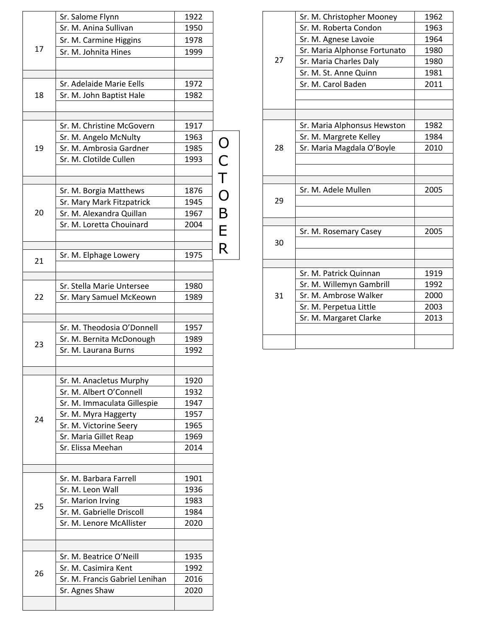|    | Sr. Salome Flynn               | 1922 |         |
|----|--------------------------------|------|---------|
|    | Sr. M. Anina Sullivan          | 1950 |         |
|    | Sr. M. Carmine Higgins         | 1978 |         |
| 17 | Sr. M. Johnita Hines           | 1999 |         |
|    |                                |      |         |
|    | Sr. Adelaide Marie Eells       | 1972 |         |
| 18 |                                | 1982 |         |
|    | Sr. M. John Baptist Hale       |      |         |
|    | Sr. M. Christine McGovern      | 1917 |         |
|    | Sr. M. Angelo McNulty          | 1963 |         |
| 19 | Sr. M. Ambrosia Gardner        | 1985 |         |
|    | Sr. M. Clotilde Cullen         | 1993 |         |
|    |                                |      |         |
|    | Sr. M. Borgia Matthews         | 1876 |         |
|    | Sr. Mary Mark Fitzpatrick      | 1945 |         |
| 20 | Sr. M. Alexandra Quillan       | 1967 |         |
|    | Sr. M. Loretta Chouinard       | 2004 |         |
|    |                                |      | OCTOBER |
|    | Sr. M. Elphage Lowery          | 1975 |         |
| 21 |                                |      |         |
|    |                                |      |         |
|    | Sr. Stella Marie Untersee      | 1980 |         |
| 22 | Sr. Mary Samuel McKeown        | 1989 |         |
|    |                                |      |         |
|    | Sr. M. Theodosia O'Donnell     | 1957 |         |
| 23 | Sr. M. Bernita McDonough       | 1989 |         |
|    | Sr. M. Laurana Burns           | 1992 |         |
|    |                                |      |         |
|    | Sr. M. Anacletus Murphy        | 1920 |         |
|    | Sr. M. Albert O'Connell        | 1932 |         |
|    | Sr. M. Immaculata Gillespie    | 1947 |         |
| 24 | Sr. M. Myra Haggerty           | 1957 |         |
|    | Sr. M. Victorine Seery         | 1965 |         |
|    | Sr. Maria Gillet Reap          | 1969 |         |
|    | Sr. Elissa Meehan              | 2014 |         |
|    |                                |      |         |
|    | Sr. M. Barbara Farrell         | 1901 |         |
|    | Sr. M. Leon Wall               | 1936 |         |
| 25 | Sr. Marion Irving              | 1983 |         |
|    | Sr. M. Gabrielle Driscoll      | 1984 |         |
|    | Sr. M. Lenore McAllister       | 2020 |         |
|    |                                |      |         |
|    | Sr. M. Beatrice O'Neill        | 1935 |         |
| 26 | Sr. M. Casimira Kent           | 1992 |         |
|    | Sr. M. Francis Gabriel Lenihan | 2016 |         |
|    | Sr. Agnes Shaw                 | 2020 |         |
|    |                                |      |         |

|    | Sr. M. Christopher Mooney    | 1962         |
|----|------------------------------|--------------|
|    | Sr. M. Roberta Condon        | 1963         |
|    | Sr. M. Agnese Lavoie         | 1964         |
|    | Sr. Maria Alphonse Fortunato | 1980         |
| 27 | Sr. Maria Charles Daly       | 1980         |
|    | Sr. M. St. Anne Quinn        | 1981         |
|    | Sr. M. Carol Baden           | 2011         |
|    |                              |              |
|    |                              |              |
|    |                              |              |
|    | Sr. Maria Alphonsus Hewston  | 1982<br>1984 |
|    | Sr. M. Margrete Kelley       |              |
| 28 | Sr. Maria Magdala O'Boyle    | 2010         |
|    |                              |              |
|    |                              |              |
|    | Sr. M. Adele Mullen          | 2005         |
| 29 |                              |              |
|    |                              |              |
|    |                              |              |
|    | Sr. M. Rosemary Casey        | 2005         |
| 30 |                              |              |
|    |                              |              |
|    | Sr. M. Patrick Quinnan       | 1919         |
|    | Sr. M. Willemyn Gambrill     | 1992         |
| 31 | Sr. M. Ambrose Walker        | 2000         |
|    | Sr. M. Perpetua Little       | 2003         |
|    | Sr. M. Margaret Clarke       | 2013         |
|    |                              |              |
|    |                              |              |
|    |                              |              |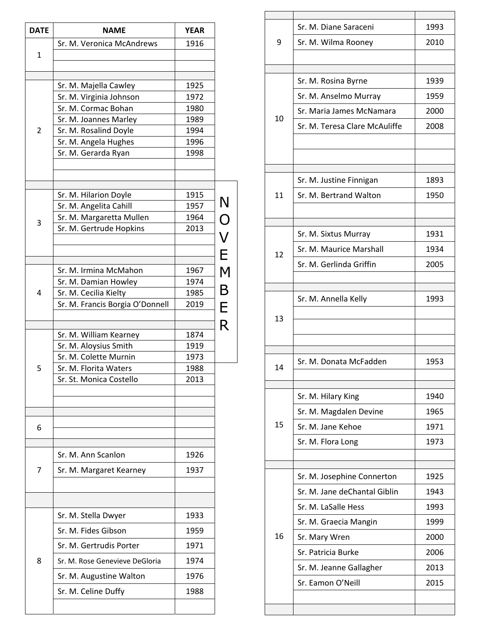| <b>DATE</b>  | <b>NAME</b>                                 | <b>YEAR</b>  |                  |
|--------------|---------------------------------------------|--------------|------------------|
|              | Sr. M. Veronica McAndrews                   | 1916         |                  |
| $\mathbf{1}$ |                                             |              |                  |
|              |                                             |              |                  |
|              | Sr. M. Majella Cawley                       | 1925         |                  |
|              | Sr. M. Virginia Johnson                     | 1972         |                  |
|              | Sr. M. Cormac Bohan                         | 1980         |                  |
|              | Sr. M. Joannes Marley                       | 1989         |                  |
| 2            | Sr. M. Rosalind Doyle                       | 1994         |                  |
|              | Sr. M. Angela Hughes<br>Sr. M. Gerarda Ryan | 1996<br>1998 |                  |
|              |                                             |              |                  |
|              |                                             |              |                  |
|              | Sr. M. Hilarion Doyle                       | 1915         |                  |
|              | Sr. M. Angelita Cahill                      | 1957         |                  |
| 3            | Sr. M. Margaretta Mullen                    | 1964         |                  |
|              | Sr. M. Gertrude Hopkins                     | 2013         |                  |
|              |                                             |              | N<br>O<br>V<br>E |
|              | Sr. M. Irmina McMahon                       | 1967         | M                |
|              | Sr. M. Damian Howley                        | 1974         |                  |
| 4            | Sr. M. Cecilia Kielty                       | 1985         | B                |
|              | Sr. M. Francis Borgia O'Donnell             | 2019         | E                |
|              |                                             |              | R                |
|              | Sr. M. William Kearney                      | 1874         |                  |
|              | Sr. M. Aloysius Smith                       | 1919         |                  |
|              | Sr. M. Colette Murnin                       | 1973         |                  |
| 5            | Sr. M. Florita Waters                       | 1988         |                  |
|              | Sr. St. Monica Costello                     | 2013         |                  |
|              |                                             |              |                  |
|              |                                             |              |                  |
| 6            |                                             |              |                  |
|              | Sr. M. Ann Scanlon                          | 1926         |                  |
| 7            | Sr. M. Margaret Kearney                     | 1937         |                  |
|              |                                             |              |                  |
|              |                                             |              |                  |
|              | Sr. M. Stella Dwyer                         | 1933         |                  |
|              | Sr. M. Fides Gibson                         | 1959         |                  |
|              | Sr. M. Gertrudis Porter                     | 1971         |                  |
| 8            | Sr. M. Rose Genevieve DeGloria              | 1974         |                  |
|              | Sr. M. Augustine Walton                     | 1976         |                  |
|              | Sr. M. Celine Duffy                         | 1988         |                  |
|              |                                             |              |                  |

| 9  | Sr. M. Diane Saraceni         | 1993 |
|----|-------------------------------|------|
|    | Sr. M. Wilma Rooney           | 2010 |
|    |                               |      |
|    | Sr. M. Rosina Byrne           | 1939 |
|    | Sr. M. Anselmo Murray         | 1959 |
|    | Sr. Maria James McNamara      | 2000 |
| 10 | Sr. M. Teresa Clare McAuliffe | 2008 |
|    |                               |      |
|    |                               |      |
|    |                               |      |
|    | Sr. M. Justine Finnigan       | 1893 |
| 11 | Sr. M. Bertrand Walton        | 1950 |
|    |                               |      |
|    | Sr. M. Sixtus Murray          | 1931 |
| 12 | Sr. M. Maurice Marshall       | 1934 |
|    | Sr. M. Gerlinda Griffin       | 2005 |
|    |                               |      |
|    | Sr. M. Annella Kelly          | 1993 |
| 13 |                               |      |
|    |                               |      |
|    |                               |      |
| 14 | Sr. M. Donata McFadden        | 1953 |
|    |                               |      |
|    | Sr. M. Hilary King            | 1940 |
|    | Sr. M. Magdalen Devine        | 1965 |
| 15 | Sr. M. Jane Kehoe             | 1971 |
|    | Sr. M. Flora Long             | 1973 |
|    |                               |      |
|    | Sr. M. Josephine Connerton    | 1925 |
|    | Sr. M. Jane deChantal Giblin  | 1943 |
|    | Sr. M. LaSalle Hess           | 1993 |
|    | Sr. M. Graecia Mangin         | 1999 |
| 16 | Sr. Mary Wren                 | 2000 |
|    | Sr. Patricia Burke            | 2006 |
|    | Sr. M. Jeanne Gallagher       | 2013 |
|    | Sr. Eamon O'Neill             | 2015 |
|    |                               |      |
|    |                               |      |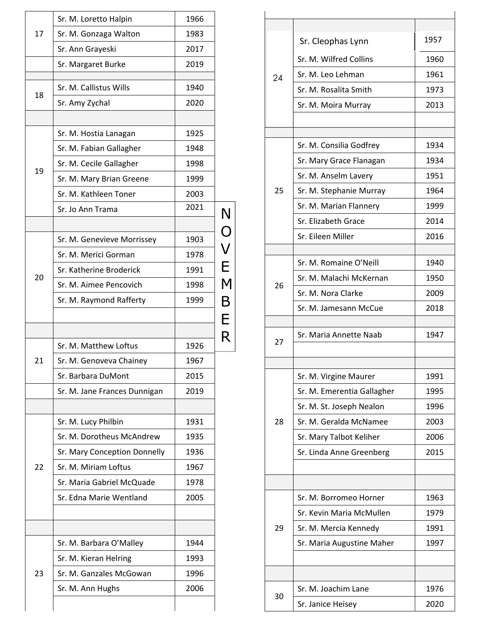| 17 | Sr. M. Loretto Halpin        | 1966         |                       |
|----|------------------------------|--------------|-----------------------|
|    | Sr. M. Gonzaga Walton        | 1983         |                       |
|    | Sr. Ann Grayeski             | 2017         |                       |
|    | Sr. Margaret Burke           | 2019         |                       |
|    |                              |              |                       |
| 18 | Sr. M. Callistus Wills       | 1940         |                       |
|    | Sr. Amy Zychal               | 2020         |                       |
|    |                              |              |                       |
|    | Sr. M. Hostia Lanagan        | 1925         |                       |
|    | Sr. M. Fabian Gallagher      | 1948         |                       |
| 19 | Sr. M. Cecile Gallagher      | 1998         |                       |
|    | Sr. M. Mary Brian Greene     | 1999         |                       |
|    | Sr. M. Kathleen Toner        | 2003<br>2021 |                       |
|    | Sr. Jo Ann Trama             |              |                       |
|    |                              |              | N<br>O<br>V<br>E<br>M |
|    | Sr. M. Genevieve Morrissey   | 1903         |                       |
|    | Sr. M. Merici Gorman         | 1978         |                       |
| 20 | Sr. Katherine Broderick      | 1991         |                       |
|    | Sr. M. Aimee Pencovich       | 1998         |                       |
|    | Sr. M. Raymond Rafferty      | 1999         | $\mathsf B$           |
|    |                              |              | E                     |
|    |                              |              |                       |
|    |                              |              |                       |
|    | Sr. M. Matthew Loftus        | 1926         | R                     |
| 21 | Sr. M. Genoveva Chainey      | 1967         |                       |
|    | Sr. Barbara DuMont           | 2015         |                       |
|    | Sr. M. Jane Frances Dunnigan | 2019         |                       |
|    |                              |              |                       |
|    | Sr. M. Lucy Philbin          | 1931         |                       |
|    | Sr. M. Dorotheus McAndrew    | 1935         |                       |
|    | Sr. Mary Conception Donnelly | 1936         |                       |
| 22 | Sr. M. Miriam Loftus         | 1967         |                       |
|    | Sr. Maria Gabriel McQuade    | 1978         |                       |
|    | Sr. Edna Marie Wentland      | 2005         |                       |
|    |                              |              |                       |
|    |                              |              |                       |
|    | Sr. M. Barbara O'Malley      | 1944         |                       |
|    | Sr. M. Kieran Helring        | 1993         |                       |
| 23 | Sr. M. Ganzales McGowan      | 1996         |                       |
|    | Sr. M. Ann Hughs             | 2006         |                       |

| 24 | Sr. Cleophas Lynn          | 1957 |
|----|----------------------------|------|
|    | Sr. M. Wilfred Collins     | 1960 |
|    | Sr. M. Leo Lehman          | 1961 |
|    | Sr. M. Rosalita Smith      | 1973 |
|    | Sr. M. Moira Murray        | 2013 |
|    |                            |      |
|    | Sr. M. Consilia Godfrey    | 1934 |
|    | Sr. Mary Grace Flanagan    | 1934 |
|    | Sr. M. Anselm Lavery       | 1951 |
| 25 | Sr. M. Stephanie Murray    | 1964 |
|    | Sr. M. Marian Flannery     | 1999 |
|    | Sr. Elizabeth Grace        | 2014 |
|    | Sr. Fileen Miller          | 2016 |
|    |                            |      |
|    | Sr. M. Romaine O'Neill     | 1940 |
|    | Sr. M. Malachi McKernan    | 1950 |
| 26 | Sr. M. Nora Clarke         | 2009 |
|    | Sr. M. Jamesann McCue      | 2018 |
|    |                            |      |
| 27 | Sr. Maria Annette Naab     | 1947 |
|    |                            |      |
|    |                            |      |
|    | Sr. M. Virgine Maurer      | 1991 |
|    | Sr. M. Emerentia Gallagher | 1995 |
|    | Sr. M. St. Joseph Nealon   | 1996 |
| 28 | Sr. M. Geralda McNamee     | 2003 |
|    | Sr. Mary Talbot Keliher    | 2006 |
|    | Sr. Linda Anne Greenberg   | 2015 |
|    |                            |      |
|    | Sr. M. Borromeo Horner     | 1963 |
| 29 | Sr. Kevin Maria McMullen   | 1979 |
|    | Sr. M. Mercia Kennedy      | 1991 |
|    | Sr. Maria Augustine Maher  | 1997 |
|    |                            |      |
|    |                            |      |
| 30 | Sr. M. Joachim Lane        | 1976 |
|    | Sr. Janice Heisey          | 2020 |
|    |                            |      |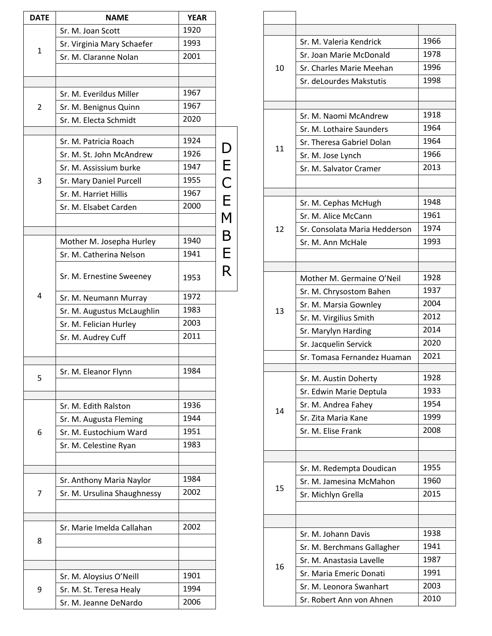| DECEM       |
|-------------|
|             |
| $\mathsf B$ |
| $\mathsf E$ |
|             |
| R           |
|             |
|             |
|             |
|             |
|             |
|             |
|             |
|             |
|             |
|             |
|             |
|             |
|             |
|             |
|             |
|             |
|             |
|             |
|             |
|             |
|             |
|             |

|    | Sr. M. Valeria Kendrick       | 1966 |
|----|-------------------------------|------|
|    | Sr. Joan Marie McDonald       | 1978 |
| 10 | Sr. Charles Marie Meehan      | 1996 |
|    | Sr. deLourdes Makstutis       | 1998 |
|    |                               |      |
|    |                               |      |
|    | Sr. M. Naomi McAndrew         | 1918 |
|    | Sr. M. Lothaire Saunders      | 1964 |
| 11 | Sr. Theresa Gabriel Dolan     | 1964 |
|    | Sr. M. Jose Lynch             | 1966 |
|    | Sr. M. Salvator Cramer        | 2013 |
|    |                               |      |
|    | Sr. M. Cephas McHugh          | 1948 |
|    | Sr. M. Alice McCann           | 1961 |
| 12 | Sr. Consolata Maria Hedderson | 1974 |
|    | Sr. M. Ann McHale             | 1993 |
|    |                               |      |
|    |                               |      |
|    | Mother M. Germaine O'Neil     | 1928 |
|    | Sr. M. Chrysostom Bahen       | 1937 |
| 13 | Sr. M. Marsia Gownley         | 2004 |
|    | Sr. M. Virgilius Smith        | 2012 |
|    | Sr. Marylyn Harding           | 2014 |
|    | Sr. Jacquelin Servick         | 2020 |
|    | Sr. Tomasa Fernandez Huaman   | 2021 |
|    | Sr. M. Austin Doherty         | 1928 |
|    | Sr. Edwin Marie Deptula       | 1933 |
|    | Sr. M. Andrea Fahey           | 1954 |
| 14 | Sr. Zita Maria Kane           | 1999 |
|    | Sr. M. Elise Frank            | 2008 |
|    |                               |      |
|    |                               |      |
|    | Sr. M. Redempta Doudican      | 1955 |
| 15 | Sr. M. Jamesina McMahon       | 1960 |
|    | Sr. Michlyn Grella            | 2015 |
|    |                               |      |
|    |                               |      |
|    | Sr. M. Johann Davis           | 1938 |
|    | Sr. M. Berchmans Gallagher    | 1941 |
| 16 | Sr. M. Anastasia Lavelle      | 1987 |
|    | Sr. Maria Emeric Donati       | 1991 |
|    | Sr. M. Leonora Swanhart       | 2003 |
|    | Sr. Robert Ann von Ahnen      | 2010 |